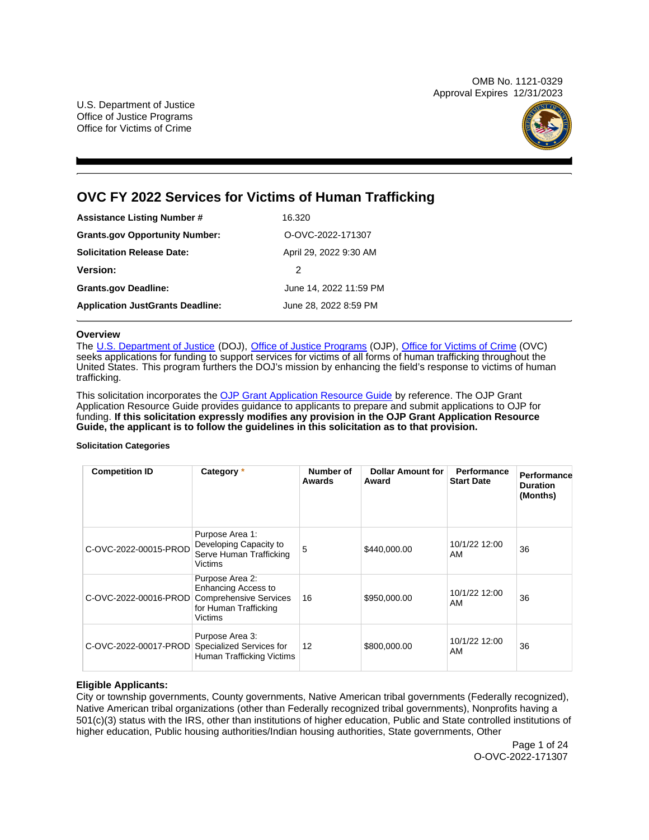OMB No. 1121-0329 Approval Expires 12/31/2023

U.S. Department of Justice Office of Justice Programs Office for Victims of Crime



# **OVC FY 2022 Services for Victims of Human Trafficking**

| <b>Assistance Listing Number #</b>      | 16.320                 |
|-----------------------------------------|------------------------|
| <b>Grants.gov Opportunity Number:</b>   | O-OVC-2022-171307      |
| <b>Solicitation Release Date:</b>       | April 29, 2022 9:30 AM |
| Version:                                | 2                      |
| <b>Grants.gov Deadline:</b>             | June 14, 2022 11:59 PM |
| <b>Application JustGrants Deadline:</b> | June 28, 2022 8:59 PM  |

#### **Overview**

The [U.S. Department of Justice](https://www.usdoj.gov/) (DOJ), [Office of Justice Programs](https://www.ojp.gov/) (OJP), [Office for Victims of Crime](https://ovc.ojp.gov/) (OVC) seeks applications for funding to support services for victims of all forms of human trafficking throughout the United States. This program furthers the DOJ's mission by enhancing the field's response to victims of human trafficking.

This solicitation incorporates the [OJP Grant Application Resource Guide](https://www.ojp.gov/funding/Apply/Resources/Grant-App-Resource-Guide.htm) by reference. The OJP Grant Application Resource Guide provides guidance to applicants to prepare and submit applications to OJP for funding. **If this solicitation expressly modifies any provision in the OJP Grant Application Resource Guide, the applicant is to follow the guidelines in this solicitation as to that provision.** 

#### **Solicitation Categories**

| <b>Competition ID</b> | Category *                                                                                                         | Number of<br>Awards | <b>Dollar Amount for</b><br>Award | <b>Performance</b><br><b>Start Date</b> | Performance<br><b>Duration</b><br>(Months) |
|-----------------------|--------------------------------------------------------------------------------------------------------------------|---------------------|-----------------------------------|-----------------------------------------|--------------------------------------------|
| C-OVC-2022-00015-PROD | Purpose Area 1:<br>Developing Capacity to<br>Serve Human Trafficking<br><b>Victims</b>                             | 5                   | \$440,000.00                      | 10/1/22 12:00<br>AM                     | 36                                         |
| C-OVC-2022-00016-PROD | Purpose Area 2:<br>Enhancing Access to<br><b>Comprehensive Services</b><br>for Human Trafficking<br><b>Victims</b> | 16                  | \$950,000.00                      | 10/1/22 12:00<br>AM                     | 36                                         |
| C-OVC-2022-00017-PROD | Purpose Area 3:<br>Specialized Services for<br>Human Trafficking Victims                                           | $12 \overline{ }$   | \$800,000.00                      | 10/1/22 12:00<br>AM                     | 36                                         |

# **Eligible Applicants:**

City or township governments, County governments, Native American tribal governments (Federally recognized), Native American tribal organizations (other than Federally recognized tribal governments), Nonprofits having a 501(c)(3) status with the IRS, other than institutions of higher education, Public and State controlled institutions of higher education, Public housing authorities/Indian housing authorities, State governments, Other

> Page 1 of 24 O-OVC-2022-171307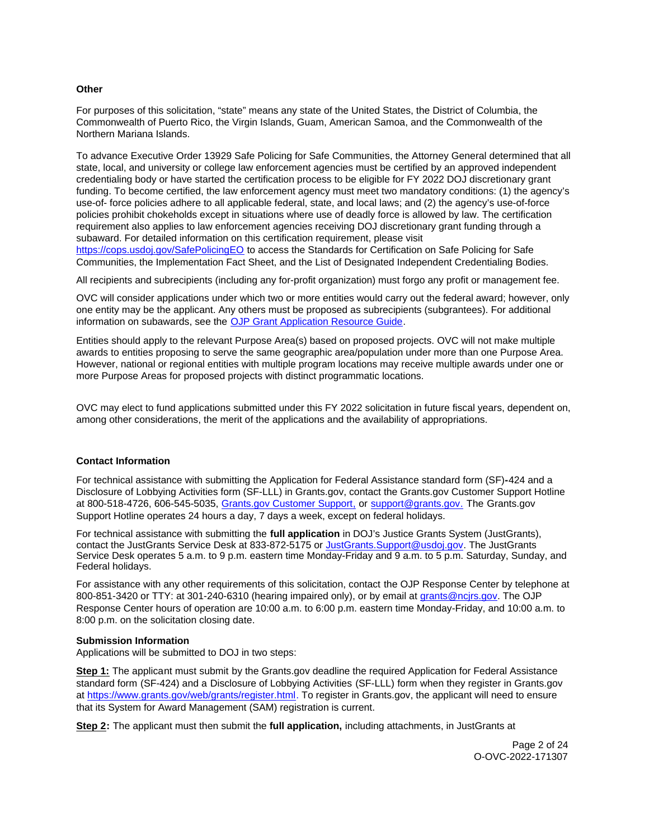# <span id="page-1-0"></span>**Other**

For purposes of this solicitation, "state" means any state of the United States, the District of Columbia, the Commonwealth of Puerto Rico, the Virgin Islands, Guam, American Samoa, and the Commonwealth of the Northern Mariana Islands.

To advance Executive Order 13929 Safe Policing for Safe Communities, the Attorney General determined that all state, local, and university or college law enforcement agencies must be certified by an approved independent credentialing body or have started the certification process to be eligible for FY 2022 DOJ discretionary grant funding. To become certified, the law enforcement agency must meet two mandatory conditions: (1) the agency's use-of- force policies adhere to all applicable federal, state, and local laws; and (2) the agency's use-of-force policies prohibit chokeholds except in situations where use of deadly force is allowed by law. The certification requirement also applies to law enforcement agencies receiving DOJ discretionary grant funding through a subaward. For detailed information on this certification requirement, please visit [https://cops.usdoj.gov/SafePolicingEO](https://cops.usdoj.gov/SafePolicingEO%20) to access the Standards for Certification on Safe Policing for Safe

Communities, the Implementation Fact Sheet, and the List of Designated Independent Credentialing Bodies.

All recipients and subrecipients (including any for-profit organization) must forgo any profit or management fee.

OVC will consider applications under which two or more entities would carry out the federal award; however, only one entity may be the applicant. Any others must be proposed as subrecipients (subgrantees). For additional information on subawards, see the [OJP Grant Application Resource Guide.](https://www.ojp.gov/funding/Apply/Resources/Grant-App-Resource-Guide.htm)

Entities should apply to the relevant Purpose Area(s) based on proposed projects. OVC will not make multiple awards to entities proposing to serve the same geographic area/population under more than one Purpose Area. However, national or regional entities with multiple program locations may receive multiple awards under one or more Purpose Areas for proposed projects with distinct programmatic locations.

OVC may elect to fund applications submitted under this FY 2022 solicitation in future fiscal years, dependent on, among other considerations, the merit of the applications and the availability of appropriations.

# **Contact Information**

For technical assistance with submitting the Application for Federal Assistance standard form (SF)**-**424 and a Disclosure of Lobbying Activities form (SF-LLL) in [Grants.gov](https://Grants.gov), contact the [Grants.gov](https://Grants.gov) Customer Support Hotline at 800-518-4726, 606-545-5035, [Grants.gov Customer Support,](https://www.grants.gov/web/grants/support.html) or [support@grants.gov.](mailto:support@grants.gov) The [Grants.gov](https://Grants.gov) Support Hotline operates 24 hours a day, 7 days a week, except on federal holidays.

For technical assistance with submitting the **full application** in DOJ's Justice Grants System (JustGrants), contact the JustGrants Service Desk at 833-872-5175 or [JustGrants.Support@usdoj.gov.](mailto:JustGrants.Support@usdoj.gov) The JustGrants Service Desk operates 5 a.m. to 9 p.m. eastern time Monday-Friday and 9 a.m. to 5 p.m. Saturday, Sunday, and Federal holidays.

For assistance with any other requirements of this solicitation, contact the OJP Response Center by telephone at 800-851-3420 or TTY: at 301-240-6310 (hearing impaired only), or by email at [grants@ncjrs.gov.](mailto:grants@ncjrs.gov) The OJP Response Center hours of operation are 10:00 a.m. to 6:00 p.m. eastern time Monday-Friday, and 10:00 a.m. to 8:00 p.m. on the solicitation closing date.

# **Submission Information**

Applications will be submitted to DOJ in two steps:

**Step 1:** The applicant must submit by the [Grants.gov](https://Grants.gov) deadline the required Application for Federal Assistance standard form (SF-424) and a Disclosure of Lobbying Activities (SF-LLL) form when they register in [Grants.gov](https://Grants.gov) at [https://www.grants.gov/web/grants/register.html.](https://www.grants.gov/web/grants/register.html) To register in [Grants.gov](https://Grants.gov), the applicant will need to ensure that its System for Award Management (SAM) registration is current.

**Step 2:** The applicant must then submit the **full application,** including attachments, in JustGrants at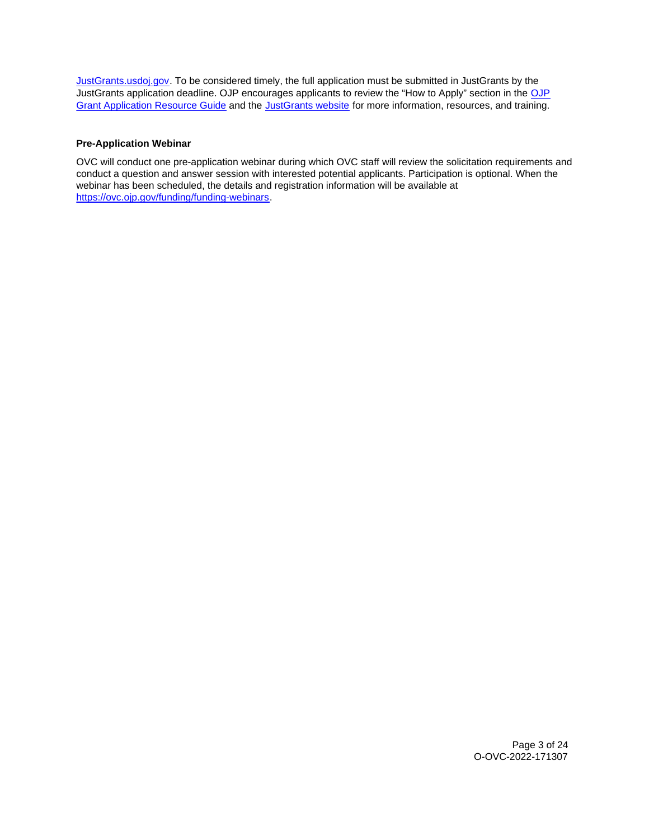[JustGrants.usdoj.gov.](https://justicegrants.usdoj.gov/) To be considered timely, the full application must be submitted in JustGrants by the JustGrants application deadline. [OJP](https://www.ojp.gov/funding/apply/ojp-grant-application-resource-guide#apply) encourages applicants to review the "How to Apply" section in the OJP [Grant Application Resource Guide](https://www.ojp.gov/funding/apply/ojp-grant-application-resource-guide#apply) and the [JustGrants website](https://justicegrants.usdoj.gov/news) for more information, resources, and training.

# **Pre-Application Webinar**

OVC will conduct one pre-application webinar during which OVC staff will review the solicitation requirements and conduct a question and answer session with interested potential applicants. Participation is optional. When the webinar has been scheduled, the details and registration information will be available at [https://ovc.ojp.gov/funding/funding-webinars.](https://ovc.ojp.gov/funding/funding-webinars)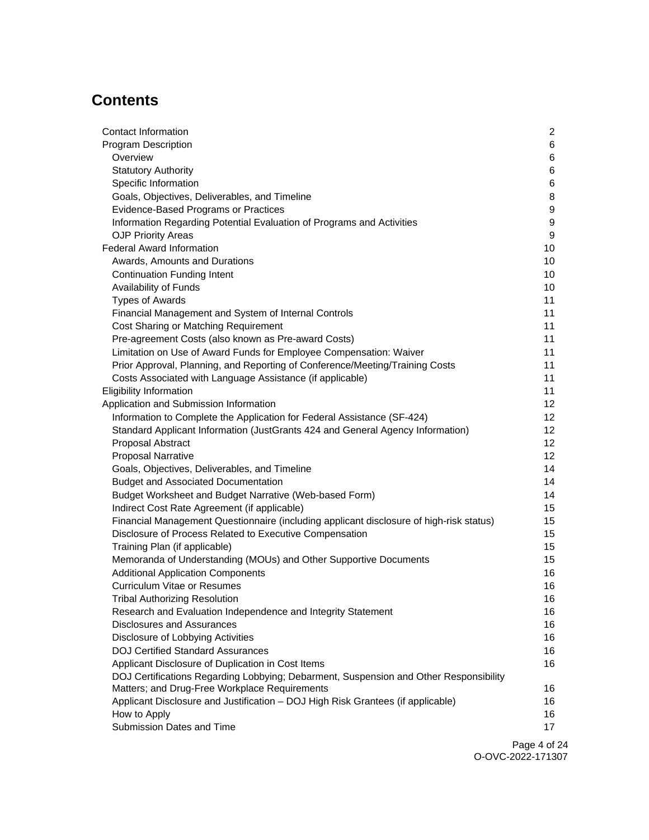# **Contents**

| Contact Information                                                                     | $\mathbf{2}$    |
|-----------------------------------------------------------------------------------------|-----------------|
| <b>Program Description</b>                                                              | 6               |
| Overview                                                                                | 6               |
| <b>Statutory Authority</b>                                                              | 6               |
| Specific Information                                                                    | 6               |
| Goals, Objectives, Deliverables, and Timeline                                           | 8               |
| Evidence-Based Programs or Practices                                                    | 9               |
| Information Regarding Potential Evaluation of Programs and Activities                   | 9               |
| <b>OJP Priority Areas</b>                                                               | 9               |
| <b>Federal Award Information</b>                                                        | 10              |
| Awards, Amounts and Durations                                                           | 10              |
| <b>Continuation Funding Intent</b>                                                      | 10              |
| Availability of Funds                                                                   | 10              |
| <b>Types of Awards</b>                                                                  | 11              |
| Financial Management and System of Internal Controls                                    | 11              |
| Cost Sharing or Matching Requirement                                                    | 11              |
| Pre-agreement Costs (also known as Pre-award Costs)                                     | 11              |
| Limitation on Use of Award Funds for Employee Compensation: Waiver                      | 11              |
| Prior Approval, Planning, and Reporting of Conference/Meeting/Training Costs            | 11              |
| Costs Associated with Language Assistance (if applicable)                               | 11              |
| <b>Eligibility Information</b>                                                          | 11              |
| Application and Submission Information                                                  | 12              |
| Information to Complete the Application for Federal Assistance (SF-424)                 | 12              |
| Standard Applicant Information (JustGrants 424 and General Agency Information)          | 12 <sub>2</sub> |
| Proposal Abstract                                                                       | 12 <sub>2</sub> |
| <b>Proposal Narrative</b>                                                               | 12 <sub>2</sub> |
| Goals, Objectives, Deliverables, and Timeline                                           | 14              |
| <b>Budget and Associated Documentation</b>                                              | 14              |
| Budget Worksheet and Budget Narrative (Web-based Form)                                  | 14              |
| Indirect Cost Rate Agreement (if applicable)                                            | 15              |
| Financial Management Questionnaire (including applicant disclosure of high-risk status) | 15              |
| Disclosure of Process Related to Executive Compensation                                 | 15              |
| Training Plan (if applicable)                                                           | 15              |
| Memoranda of Understanding (MOUs) and Other Supportive Documents                        | 15              |
| <b>Additional Application Components</b>                                                | 16              |
| <b>Curriculum Vitae or Resumes</b>                                                      | 16              |
| <b>Tribal Authorizing Resolution</b>                                                    | 16              |
| Research and Evaluation Independence and Integrity Statement                            | 16              |
| <b>Disclosures and Assurances</b>                                                       | 16              |
| Disclosure of Lobbying Activities                                                       | 16              |
| <b>DOJ Certified Standard Assurances</b>                                                | 16              |
| Applicant Disclosure of Duplication in Cost Items                                       | 16              |
| DOJ Certifications Regarding Lobbying; Debarment, Suspension and Other Responsibility   |                 |
| Matters; and Drug-Free Workplace Requirements                                           | 16              |
| Applicant Disclosure and Justification - DOJ High Risk Grantees (if applicable)         | 16              |
| How to Apply                                                                            | 16              |
| Submission Dates and Time                                                               | 17              |
|                                                                                         |                 |

Page 4 of 24 O-OVC-2022-171307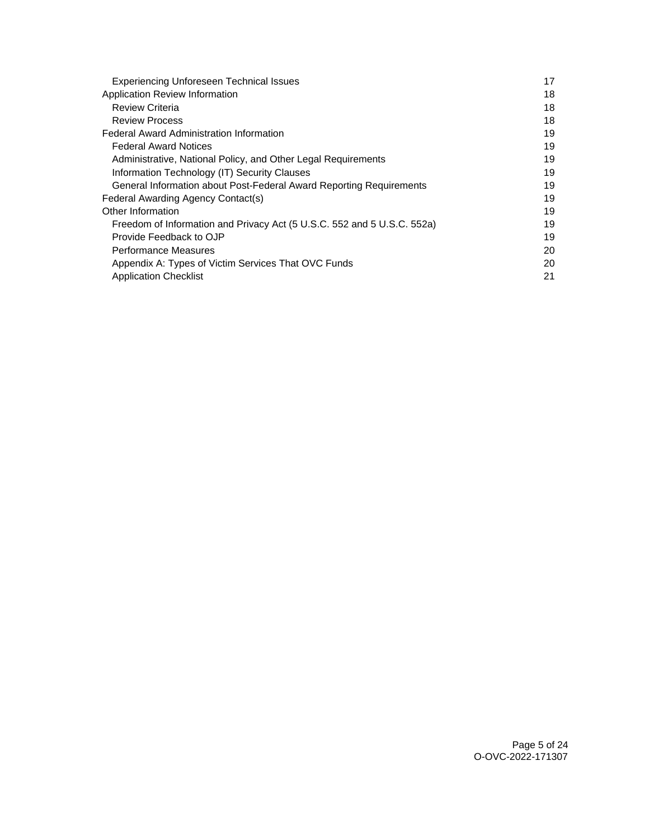| <b>Experiencing Unforeseen Technical Issues</b>                         | 17 |
|-------------------------------------------------------------------------|----|
| Application Review Information                                          | 18 |
| <b>Review Criteria</b>                                                  | 18 |
| <b>Review Process</b>                                                   | 18 |
| Federal Award Administration Information                                | 19 |
| <b>Federal Award Notices</b>                                            | 19 |
| Administrative, National Policy, and Other Legal Requirements           | 19 |
| Information Technology (IT) Security Clauses                            | 19 |
| General Information about Post-Federal Award Reporting Requirements     | 19 |
| Federal Awarding Agency Contact(s)                                      | 19 |
| Other Information                                                       | 19 |
| Freedom of Information and Privacy Act (5 U.S.C. 552 and 5 U.S.C. 552a) | 19 |
| Provide Feedback to OJP                                                 | 19 |
| Performance Measures                                                    | 20 |
| Appendix A: Types of Victim Services That OVC Funds                     | 20 |
| <b>Application Checklist</b>                                            | 21 |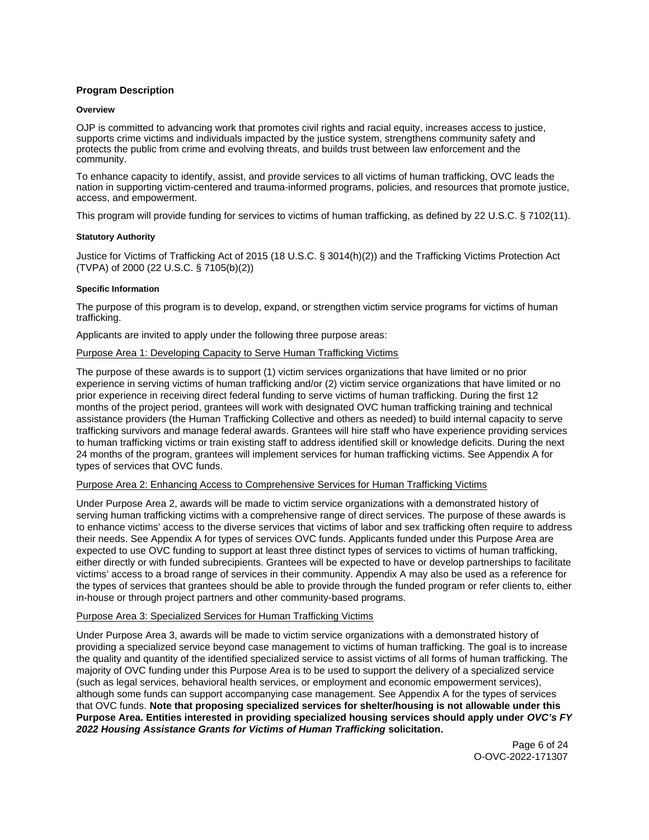# <span id="page-5-0"></span>**Program Description**

#### **Overview**

OJP is committed to advancing work that promotes civil rights and racial equity, increases access to justice, supports crime victims and individuals impacted by the justice system, strengthens community safety and protects the public from crime and evolving threats, and builds trust between law enforcement and the community.

To enhance capacity to identify, assist, and provide services to all victims of human trafficking, OVC leads the nation in supporting victim-centered and trauma-informed programs, policies, and resources that promote justice, access, and empowerment.

This program will provide funding for services to victims of human trafficking, as defined by 22 U.S.C. § 7102(11).

#### **Statutory Authority**

Justice for Victims of Trafficking Act of 2015 (18 U.S.C. § 3014(h)(2)) and the Trafficking Victims Protection Act (TVPA) of 2000 (22 U.S.C. § 7105(b)(2))

#### **Specific Information**

The purpose of this program is to develop, expand, or strengthen victim service programs for victims of human trafficking.

Applicants are invited to apply under the following three purpose areas:

# Purpose Area 1: Developing Capacity to Serve Human Trafficking Victims

The purpose of these awards is to support (1) victim services organizations that have limited or no prior experience in serving victims of human trafficking and/or (2) victim service organizations that have limited or no prior experience in receiving direct federal funding to serve victims of human trafficking. During the first 12 months of the project period, grantees will work with designated OVC human trafficking training and technical assistance providers (the Human Trafficking Collective and others as needed) to build internal capacity to serve trafficking survivors and manage federal awards. Grantees will hire staff who have experience providing services to human trafficking victims or train existing staff to address identified skill or knowledge deficits. During the next 24 months of the program, grantees will implement services for human trafficking victims. See Appendix A for types of services that OVC funds.

# Purpose Area 2: Enhancing Access to Comprehensive Services for Human Trafficking Victims

Under Purpose Area 2, awards will be made to victim service organizations with a demonstrated history of serving human trafficking victims with a comprehensive range of direct services. The purpose of these awards is to enhance victims' access to the diverse services that victims of labor and sex trafficking often require to address their needs. See Appendix A for types of services OVC funds. Applicants funded under this Purpose Area are expected to use OVC funding to support at least three distinct types of services to victims of human trafficking, either directly or with funded subrecipients. Grantees will be expected to have or develop partnerships to facilitate victims' access to a broad range of services in their community. Appendix A may also be used as a reference for the types of services that grantees should be able to provide through the funded program or refer clients to, either in-house or through project partners and other community-based programs.

# Purpose Area 3: Specialized Services for Human Trafficking Victims

Under Purpose Area 3, awards will be made to victim service organizations with a demonstrated history of providing a specialized service beyond case management to victims of human trafficking. The goal is to increase the quality and quantity of the identified specialized service to assist victims of all forms of human trafficking. The majority of OVC funding under this Purpose Area is to be used to support the delivery of a specialized service (such as legal services, behavioral health services, or employment and economic empowerment services), although some funds can support accompanying case management. See Appendix A for the types of services that OVC funds. **Note that proposing specialized services for shelter/housing is not allowable under this Purpose Area. Entities interested in providing specialized housing services should apply under OVC's FY 2022 Housing Assistance Grants for Victims of Human Trafficking solicitation.** 

> Page 6 of 24 O-OVC-2022-171307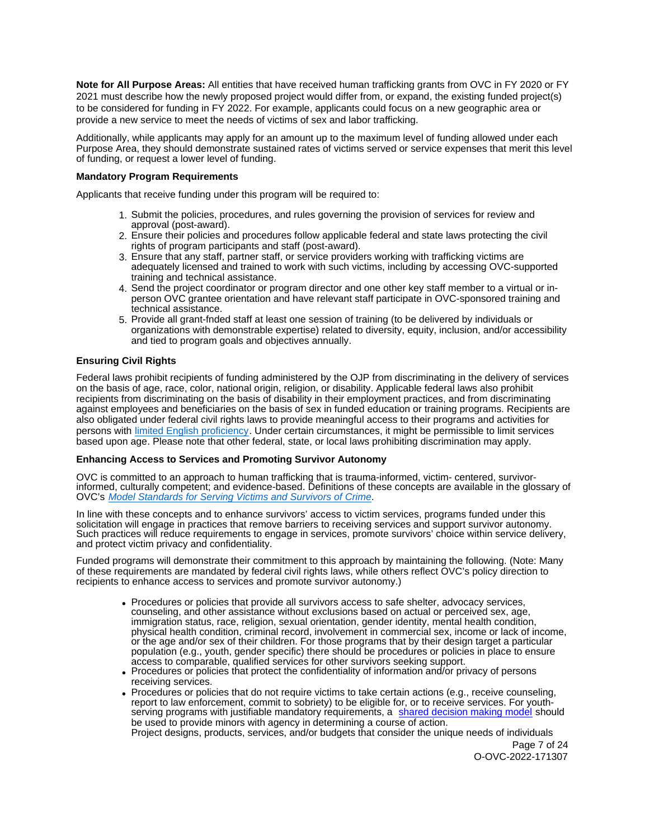**Note for All Purpose Areas:** All entities that have received human trafficking grants from OVC in FY 2020 or FY 2021 must describe how the newly proposed project would differ from, or expand, the existing funded project(s) to be considered for funding in FY 2022. For example, applicants could focus on a new geographic area or provide a new service to meet the needs of victims of sex and labor trafficking.

Additionally, while applicants may apply for an amount up to the maximum level of funding allowed under each Purpose Area, they should demonstrate sustained rates of victims served or service expenses that merit this level of funding, or request a lower level of funding.

#### **Mandatory Program Requirements**

Applicants that receive funding under this program will be required to:

- 1. Submit the policies, procedures, and rules governing the provision of services for review and approval (post-award).
- 2. Ensure their policies and procedures follow applicable federal and state laws protecting the civil rights of program participants and staff (post-award).
- 3. Ensure that any staff, partner staff, or service providers working with trafficking victims are adequately licensed and trained to work with such victims, including by accessing OVC-supported training and technical assistance.
- 4. Send the project coordinator or program director and one other key staff member to a virtual or inperson OVC grantee orientation and have relevant staff participate in OVC-sponsored training and technical assistance.
- 5. Provide all grant-fnded staff at least one session of training (to be delivered by individuals or organizations with demonstrable expertise) related to diversity, equity, inclusion, and/or accessibility and tied to program goals and objectives annually.

# **Ensuring Civil Rights**

Federal laws prohibit recipients of funding administered by the OJP from discriminating in the delivery of services on the basis of age, race, color, national origin, religion, or disability. Applicable federal laws also prohibit recipients from discriminating on the basis of disability in their employment practices, and from discriminating against employees and beneficiaries on the basis of sex in funded education or training programs. Recipients are also obligated under federal civil rights laws to provide meaningful access to their programs and activities for persons with [limited English proficiency.](https://www.ojp.gov/program/civil-rights/limited-english-proficient-lep) Under certain circumstances, it might be permissible to limit services based upon age. Please note that other federal, state, or local laws prohibiting discrimination may apply.

# **Enhancing Access to Services and Promoting Survivor Autonomy**

OVC is committed to an approach to human trafficking that is trauma-informed, victim- centered, survivorinformed, culturally competent; and evidence-based. Definitions of these concepts are available in the glossary of OVC's [Model Standards for Serving Victims and Survivors of Crime](https://ovc.ojp.gov/sites/g/files/xyckuh226/files/model-standards/6/glossary.html).

In line with these concepts and to enhance survivors' access to victim services, programs funded under this solicitation will engage in practices that remove barriers to receiving services and support survivor autonomy. Such practices will reduce requirements to engage in services, promote survivors' choice within service delivery, and protect victim privacy and confidentiality.

Funded programs will demonstrate their commitment to this approach by maintaining the following. (Note: Many of these requirements are mandated by federal civil rights laws, while others reflect OVC's policy direction to recipients to enhance access to services and promote survivor autonomy.)

- Procedures or policies that provide all survivors access to safe shelter, advocacy services, counseling, and other assistance without exclusions based on actual or perceived sex, age, immigration status, race, religion, sexual orientation, gender identity, mental health condition, physical health condition, criminal record, involvement in commercial sex, income or lack of income, or the age and/or sex of their children. For those programs that by their design target a particular population (e.g., youth, gender specific) there should be procedures or policies in place to ensure access to comparable, qualified services for other survivors seeking support.
- Procedures or policies that protect the confidentiality of information and/or privacy of persons receiving services.
- Procedures or policies that do not require victims to take certain actions (e.g., receive counseling, report to law enforcement, commit to sobriety) to be eligible for, or to receive services. For youthserving programs with justifiable mandatory requirements, a [shared decision making model](https://www.acf.hhs.gov/sites/default/files/documents/fysb/acf_issuebrief_htprevention_10202020_final_508.pdf) should be used to provide minors with agency in determining a course of action. Project designs, products, services, and/or budgets that consider the unique needs of individuals

Page 7 of 24 O-OVC-2022-171307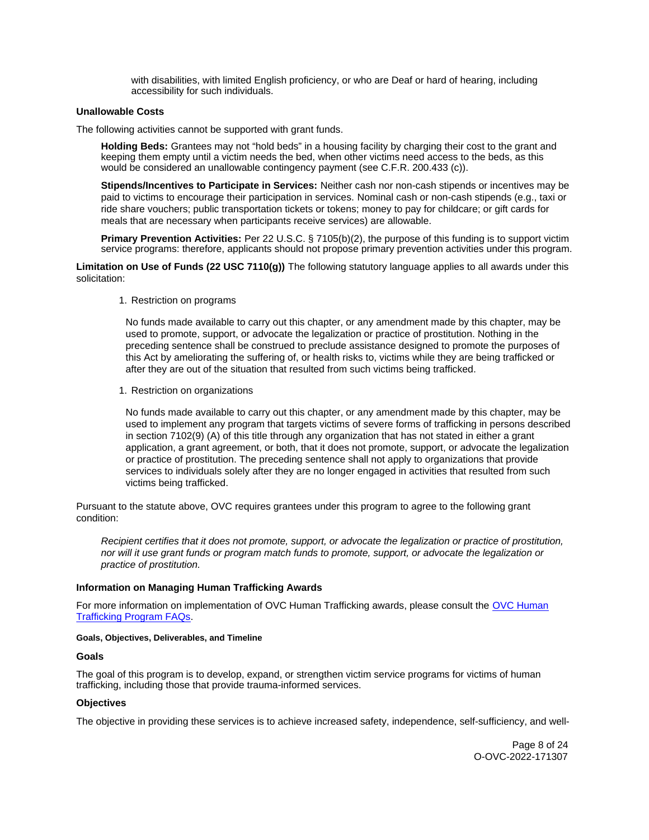with disabilities, with limited English proficiency, or who are Deaf or hard of hearing, including accessibility for such individuals.

#### <span id="page-7-0"></span>**Unallowable Costs**

The following activities cannot be supported with grant funds.

**Holding Beds:** Grantees may not "hold beds" in a housing facility by charging their cost to the grant and keeping them empty until a victim needs the bed, when other victims need access to the beds, as this would be considered an unallowable contingency payment (see C.F.R. 200.433 (c)).

**Stipends/Incentives to Participate in Services:** Neither cash nor non-cash stipends or incentives may be paid to victims to encourage their participation in services. Nominal cash or non-cash stipends (e.g., taxi or ride share vouchers; public transportation tickets or tokens; money to pay for childcare; or gift cards for meals that are necessary when participants receive services) are allowable.

**Primary Prevention Activities:** Per 22 U.S.C. § 7105(b)(2), the purpose of this funding is to support victim service programs: therefore, applicants should not propose primary prevention activities under this program.

**Limitation on Use of Funds (22 USC 7110(g))** The following statutory language applies to all awards under this solicitation:

1. Restriction on programs

No funds made available to carry out this chapter, or any amendment made by this chapter, may be used to promote, support, or advocate the legalization or practice of prostitution. Nothing in the preceding sentence shall be construed to preclude assistance designed to promote the purposes of this Act by ameliorating the suffering of, or health risks to, victims while they are being trafficked or after they are out of the situation that resulted from such victims being trafficked.

1. Restriction on organizations

No funds made available to carry out this chapter, or any amendment made by this chapter, may be used to implement any program that targets victims of severe forms of trafficking in persons described in section 7102(9) (A) of this title through any organization that has not stated in either a grant application, a grant agreement, or both, that it does not promote, support, or advocate the legalization or practice of prostitution. The preceding sentence shall not apply to organizations that provide services to individuals solely after they are no longer engaged in activities that resulted from such victims being trafficked.

Pursuant to the statute above, OVC requires grantees under this program to agree to the following grant condition:

Recipient certifies that it does not promote, support, or advocate the legalization or practice of prostitution, nor will it use grant funds or program match funds to promote, support, or advocate the legalization or practice of prostitution.

#### **Information on Managing Human Trafficking Awards**

For more information on implementation of [OVC Human](https://ovc.ojp.gov/program/human-trafficking/ovc-human-trafficking-program-faqs) Trafficking awards, please consult the OVC Human [Trafficking Program FAQs.](https://ovc.ojp.gov/program/human-trafficking/ovc-human-trafficking-program-faqs)

#### **Goals, Objectives, Deliverables, and Timeline**

#### **Goals**

The goal of this program is to develop, expand, or strengthen victim service programs for victims of human trafficking, including those that provide trauma-informed services.

# **Objectives**

The objective in providing these services is to achieve increased safety, independence, self-sufficiency, and well-

Page 8 of 24 O-OVC-2022-171307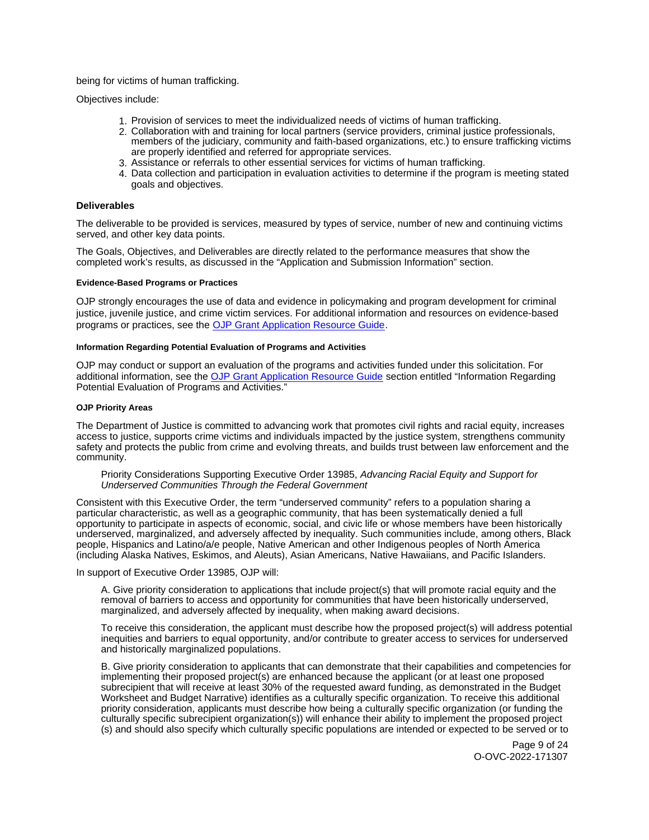<span id="page-8-0"></span>being for victims of human trafficking.

Objectives include:

- 1. Provision of services to meet the individualized needs of victims of human trafficking.
- 2. Collaboration with and training for local partners (service providers, criminal justice professionals, members of the judiciary, community and faith-based organizations, etc.) to ensure trafficking victims are properly identified and referred for appropriate services.
- 3. Assistance or referrals to other essential services for victims of human trafficking.
- 4. Data collection and participation in evaluation activities to determine if the program is meeting stated goals and objectives.

#### **Deliverables**

The deliverable to be provided is services, measured by types of service, number of new and continuing victims served, and other key data points.

The Goals, Objectives, and Deliverables are directly related to the performance measures that show the completed work's results, as discussed in the "Application and Submission Information" section.

#### **Evidence-Based Programs or Practices**

OJP strongly encourages the use of data and evidence in policymaking and program development for criminal justice, juvenile justice, and crime victim services. For additional information and resources on evidence-based programs or practices, see the [OJP Grant Application Resource Guide.](https://www.ojp.gov/funding/apply/ojp-grant-application-resource-guide#evidence-based)

#### **Information Regarding Potential Evaluation of Programs and Activities**

OJP may conduct or support an evaluation of the programs and activities funded under this solicitation. For additional information, see the [OJP Grant Application Resource Guide](https://www.ojp.gov/funding/apply/ojp-grant-application-resource-guide#potential-evaluation) section entitled "Information Regarding Potential Evaluation of Programs and Activities."

#### **OJP Priority Areas**

The Department of Justice is committed to advancing work that promotes civil rights and racial equity, increases access to justice, supports crime victims and individuals impacted by the justice system, strengthens community safety and protects the public from crime and evolving threats, and builds trust between law enforcement and the community.

#### Priority Considerations Supporting Executive Order 13985, Advancing Racial Equity and Support for Underserved Communities Through the Federal Government

Consistent with this Executive Order, the term "underserved community" refers to a population sharing a particular characteristic, as well as a geographic community, that has been systematically denied a full opportunity to participate in aspects of economic, social, and civic life or whose members have been historically underserved, marginalized, and adversely affected by inequality. Such communities include, among others, Black people, Hispanics and Latino/a/e people, Native American and other Indigenous peoples of North America (including Alaska Natives, Eskimos, and Aleuts), Asian Americans, Native Hawaiians, and Pacific Islanders.

In support of Executive Order 13985, OJP will:

A. Give priority consideration to applications that include project(s) that will promote racial equity and the removal of barriers to access and opportunity for communities that have been historically underserved, marginalized, and adversely affected by inequality, when making award decisions.

To receive this consideration, the applicant must describe how the proposed project(s) will address potential inequities and barriers to equal opportunity, and/or contribute to greater access to services for underserved and historically marginalized populations.

B. Give priority consideration to applicants that can demonstrate that their capabilities and competencies for implementing their proposed project(s) are enhanced because the applicant (or at least one proposed subrecipient that will receive at least 30% of the requested award funding, as demonstrated in the Budget Worksheet and Budget Narrative) identifies as a culturally specific organization. To receive this additional priority consideration, applicants must describe how being a culturally specific organization (or funding the culturally specific subrecipient organization(s)) will enhance their ability to implement the proposed project (s) and should also specify which culturally specific populations are intended or expected to be served or to

> Page 9 of 24 O-OVC-2022-171307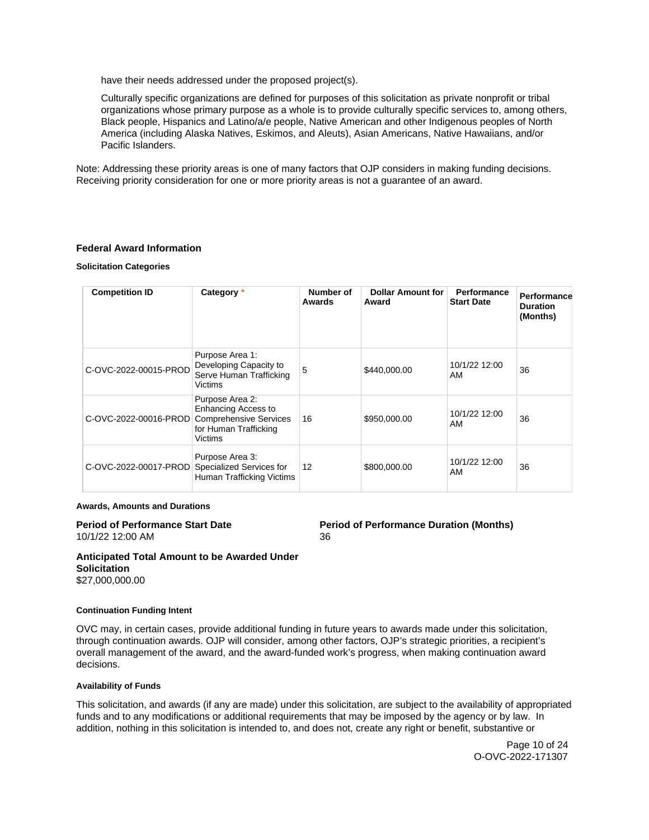<span id="page-9-0"></span>have their needs addressed under the proposed project(s).

Culturally specific organizations are defined for purposes of this solicitation as private nonprofit or tribal organizations whose primary purpose as a whole is to provide culturally specific services to, among others, Black people, Hispanics and Latino/a/e people, Native American and other Indigenous peoples of North America (including Alaska Natives, Eskimos, and Aleuts), Asian Americans, Native Hawaiians, and/or Pacific Islanders.

Note: Addressing these priority areas is one of many factors that OJP considers in making funding decisions. Receiving priority consideration for one or more priority areas is not a guarantee of an award.

#### **Federal Award Information**

#### **Solicitation Categories**

| <b>Competition ID</b> | Category *                                                                                                         | Number of<br>Awards | <b>Dollar Amount for</b><br>Award | Performance<br><b>Start Date</b> | Performance<br><b>Duration</b><br>(Months) |
|-----------------------|--------------------------------------------------------------------------------------------------------------------|---------------------|-----------------------------------|----------------------------------|--------------------------------------------|
| C-OVC-2022-00015-PROD | Purpose Area 1:<br>Developing Capacity to<br>Serve Human Trafficking<br><b>Victims</b>                             | 5                   | \$440,000.00                      | 10/1/22 12:00<br>AM              | 36                                         |
| C-OVC-2022-00016-PROD | Purpose Area 2:<br><b>Enhancing Access to</b><br>Comprehensive Services<br>for Human Trafficking<br><b>Victims</b> | 16                  | \$950,000.00                      | 10/1/22 12:00<br>AM              | 36                                         |
| C-OVC-2022-00017-PROD | Purpose Area 3:<br>Specialized Services for<br>Human Trafficking Victims                                           | 12                  | \$800,000.00                      | 10/1/22 12:00<br>AM              | 36                                         |

#### **Awards, Amounts and Durations**

# 10/1/22 12:00 AM 36

# **Period of Performance Start Date**  Period of Performance Duration (Months)

**Anticipated Total Amount to be Awarded Under Solicitation**  \$27,000,000.00

#### **Continuation Funding Intent**

OVC may, in certain cases, provide additional funding in future years to awards made under this solicitation, through continuation awards. OJP will consider, among other factors, OJP's strategic priorities, a recipient's overall management of the award, and the award-funded work's progress, when making continuation award decisions.

#### **Availability of Funds**

This solicitation, and awards (if any are made) under this solicitation, are subject to the availability of appropriated funds and to any modifications or additional requirements that may be imposed by the agency or by law. In addition, nothing in this solicitation is intended to, and does not, create any right or benefit, substantive or

> Page 10 of 24 O-OVC-2022-171307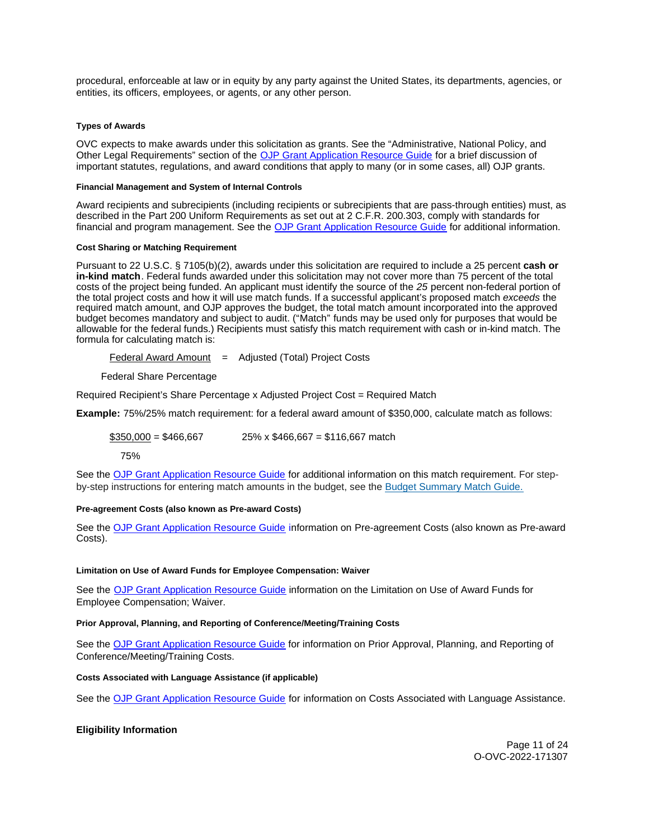<span id="page-10-0"></span>procedural, enforceable at law or in equity by any party against the United States, its departments, agencies, or entities, its officers, employees, or agents, or any other person.

#### **Types of Awards**

OVC expects to make awards under this solicitation as grants. See the "Administrative, National Policy, and Other Legal Requirements" section of the [OJP Grant Application Resource Guide](https://ojp.gov/funding/Apply/Resources/Grant-App-Resource-Guide.htm) for a brief discussion of important statutes, regulations, and award conditions that apply to many (or in some cases, all) OJP grants.

#### **Financial Management and System of Internal Controls**

Award recipients and subrecipients (including recipients or subrecipients that are pass-through entities) must, as described in the Part 200 Uniform Requirements as set out at 2 C.F.R. 200.303, comply with standards for financial and program management. See the [OJP Grant Application Resource Guide](https://www.ojp.gov/funding/apply/ojp-grant-application-resource-guide#fm-internal-controls) for additional information.

#### **Cost Sharing or Matching Requirement**

Pursuant to 22 U.S.C. § 7105(b)(2), awards under this solicitation are required to include a 25 percent **cash or in-kind match**. Federal funds awarded under this solicitation may not cover more than 75 percent of the total costs of the project being funded. An applicant must identify the source of the 25 percent non-federal portion of the total project costs and how it will use match funds. If a successful applicant's proposed match exceeds the required match amount, and OJP approves the budget, the total match amount incorporated into the approved budget becomes mandatory and subject to audit. ("Match" funds may be used only for purposes that would be allowable for the federal funds.) Recipients must satisfy this match requirement with cash or in-kind match. The formula for calculating match is:

Federal Award Amount  $=$  Adjusted (Total) Project Costs

Federal Share Percentage

Required Recipient's Share Percentage x Adjusted Project Cost = Required Match

**Example:** 75%/25% match requirement: for a federal award amount of \$350,000, calculate match as follows:

# $$350,000 = $466,667$  25% x \$466,667 = \$116,667 match

75%

See the [OJP Grant Application Resource Guide](https://www.ojp.gov/funding/apply/ojp-grant-application-resource-guide#cost-sharing) for additional information on this match requirement. For stepby-step instructions for entering match amounts in the budget, see the [Budget Summary Match Guide.](https://justicegrants.usdoj.gov/sites/g/files/xyckuh296/files/media/document/budget-summary-match-guide.pdf)

#### **Pre-agreement Costs (also known as Pre-award Costs)**

See the [OJP Grant Application Resource Guide](https://www.ojp.gov/funding/apply/ojp-grant-application-resource-guide#pre-agreement-costs) information on Pre-agreement Costs (also known as Pre-award Costs).

#### **Limitation on Use of Award Funds for Employee Compensation: Waiver**

See the [OJP Grant Application Resource Guide](https://www.ojp.gov/funding/apply/ojp-grant-application-resource-guide#limitation-use-award) information on the Limitation on Use of Award Funds for Employee Compensation; Waiver.

#### **Prior Approval, Planning, and Reporting of Conference/Meeting/Training Costs**

See the [OJP Grant Application Resource Guide](https://www.ojp.gov/funding/apply/ojp-grant-application-resource-guide#prior-approval) for information on Prior Approval, Planning, and Reporting of Conference/Meeting/Training Costs.

#### **Costs Associated with Language Assistance (if applicable)**

See the [OJP Grant Application Resource Guide](https://www.ojp.gov/funding/apply/ojp-grant-application-resource-guide#costs-associated) for information on Costs Associated with Language Assistance.

# **Eligibility Information**

Page 11 of 24 O-OVC-2022-171307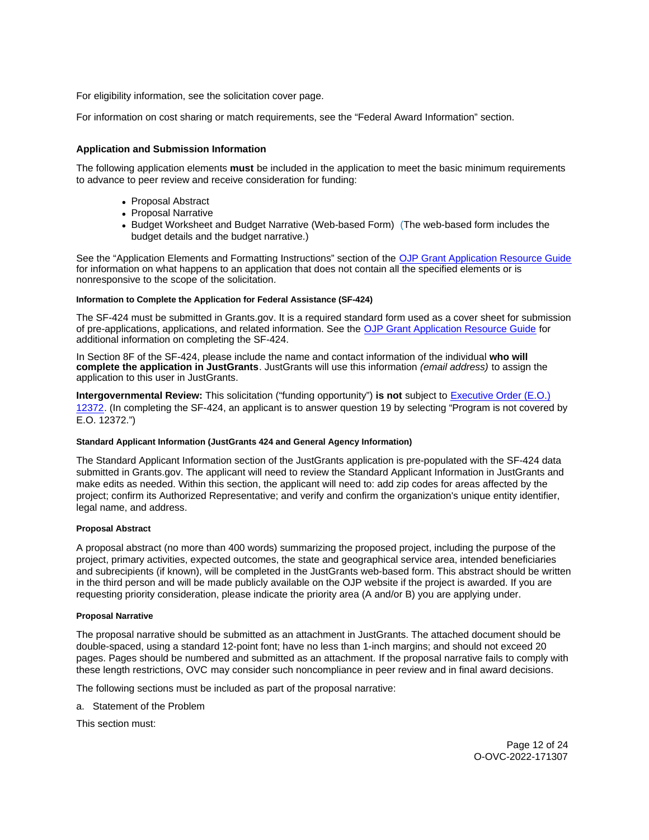<span id="page-11-0"></span>For eligibility information, see the solicitation cover page.

For information on cost sharing or match requirements, see the "Federal Award Information" section.

# **Application and Submission Information**

The following application elements **must** be included in the application to meet the basic minimum requirements to advance to peer review and receive consideration for funding:

- Proposal Abstract
- Proposal Narrative
- Budget Worksheet and Budget Narrative (Web-based Form) (The web-based form includes the budget details and the budget narrative.)

See the "Application Elements and Formatting Instructions" section of the [OJP Grant Application Resource Guide](https://ojp.gov/funding/Apply/Resources/Grant-App-Resource-Guide.htm)  for information on what happens to an application that does not contain all the specified elements or is nonresponsive to the scope of the solicitation.

# **Information to Complete the Application for Federal Assistance (SF-424)**

The SF-424 must be submitted in [Grants.gov](https://Grants.gov). It is a required standard form used as a cover sheet for submission of pre-applications, applications, and related information. See the [OJP Grant Application Resource Guide](https://www.ojp.gov/funding/Apply/Resources/Grant-App-Resource-Guide.htm) for additional information on completing the SF-424.

In Section 8F of the SF-424, please include the name and contact information of the individual **who will complete the application in JustGrants**. JustGrants will use this information (email address) to assign the application to this user in JustGrants.

**Intergovernmental Review:** This solicitation ("funding opportunity") **is not** subject to [Executive Order \(E.O.\)](https://www.archives.gov/federal-register/codification/executive-order/12372.html)  [12372.](https://www.archives.gov/federal-register/codification/executive-order/12372.html) (In completing the SF-424, an applicant is to answer question 19 by selecting "Program is not covered by E.O. 12372.")

# **Standard Applicant Information (JustGrants 424 and General Agency Information)**

The Standard Applicant Information section of the JustGrants application is pre-populated with the SF-424 data submitted in [Grants.gov.](https://Grants.gov) The applicant will need to review the Standard Applicant Information in JustGrants and make edits as needed. Within this section, the applicant will need to: add zip codes for areas affected by the project; confirm its Authorized Representative; and verify and confirm the organization's unique entity identifier, legal name, and address.

# **Proposal Abstract**

A proposal abstract (no more than 400 words) summarizing the proposed project, including the purpose of the project, primary activities, expected outcomes, the state and geographical service area, intended beneficiaries and subrecipients (if known), will be completed in the JustGrants web-based form. This abstract should be written in the third person and will be made publicly available on the OJP website if the project is awarded. If you are requesting priority consideration, please indicate the priority area (A and/or B) you are applying under.

# **Proposal Narrative**

The proposal narrative should be submitted as an attachment in JustGrants. The attached document should be double-spaced, using a standard 12-point font; have no less than 1-inch margins; and should not exceed 20 pages. Pages should be numbered and submitted as an attachment. If the proposal narrative fails to comply with these length restrictions, OVC may consider such noncompliance in peer review and in final award decisions.

The following sections must be included as part of the proposal narrative:

a. Statement of the Problem

This section must:

Page 12 of 24 O-OVC-2022-171307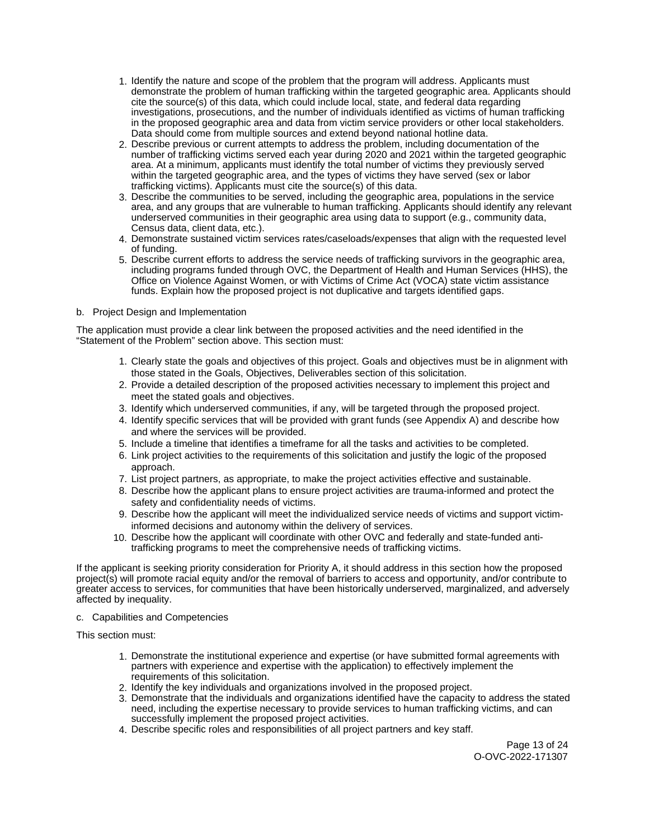- 1. Identify the nature and scope of the problem that the program will address. Applicants must demonstrate the problem of human trafficking within the targeted geographic area. Applicants should cite the source(s) of this data, which could include local, state, and federal data regarding investigations, prosecutions, and the number of individuals identified as victims of human trafficking in the proposed geographic area and data from victim service providers or other local stakeholders. Data should come from multiple sources and extend beyond national hotline data.
- 2. Describe previous or current attempts to address the problem, including documentation of the number of trafficking victims served each year during 2020 and 2021 within the targeted geographic area. At a minimum, applicants must identify the total number of victims they previously served within the targeted geographic area, and the types of victims they have served (sex or labor trafficking victims). Applicants must cite the source(s) of this data.
- 3. Describe the communities to be served, including the geographic area, populations in the service area, and any groups that are vulnerable to human trafficking. Applicants should identify any relevant underserved communities in their geographic area using data to support (e.g., community data, Census data, client data, etc.).
- 4. Demonstrate sustained victim services rates/caseloads/expenses that align with the requested level of funding.
- 5. Describe current efforts to address the service needs of trafficking survivors in the geographic area, including programs funded through OVC, the Department of Health and Human Services (HHS), the Office on Violence Against Women, or with Victims of Crime Act (VOCA) state victim assistance funds. Explain how the proposed project is not duplicative and targets identified gaps.

# b. Project Design and Implementation

The application must provide a clear link between the proposed activities and the need identified in the "Statement of the Problem" section above. This section must:

- 1. Clearly state the goals and objectives of this project. Goals and objectives must be in alignment with those stated in the Goals, Objectives, Deliverables section of this solicitation.
- 2. Provide a detailed description of the proposed activities necessary to implement this project and meet the stated goals and objectives.
- 3. Identify which underserved communities, if any, will be targeted through the proposed project.
- 4. Identify specific services that will be provided with grant funds (see Appendix A) and describe how and where the services will be provided.
- 5. Include a timeline that identifies a timeframe for all the tasks and activities to be completed.
- 6. Link project activities to the requirements of this solicitation and justify the logic of the proposed approach.
- 7. List project partners, as appropriate, to make the project activities effective and sustainable.
- 8. Describe how the applicant plans to ensure project activities are trauma-informed and protect the safety and confidentiality needs of victims.
- 9. Describe how the applicant will meet the individualized service needs of victims and support victiminformed decisions and autonomy within the delivery of services.
- 10. Describe how the applicant will coordinate with other OVC and federally and state-funded antitrafficking programs to meet the comprehensive needs of trafficking victims.

If the applicant is seeking priority consideration for Priority A, it should address in this section how the proposed project(s) will promote racial equity and/or the removal of barriers to access and opportunity, and/or contribute to greater access to services, for communities that have been historically underserved, marginalized, and adversely affected by inequality.

c. Capabilities and Competencies

This section must:

- 1. Demonstrate the institutional experience and expertise (or have submitted formal agreements with partners with experience and expertise with the application) to effectively implement the requirements of this solicitation.
- 2. Identify the key individuals and organizations involved in the proposed project.
- 3. Demonstrate that the individuals and organizations identified have the capacity to address the stated need, including the expertise necessary to provide services to human trafficking victims, and can successfully implement the proposed project activities.
- 4. Describe specific roles and responsibilities of all project partners and key staff.

Page 13 of 24 O-OVC-2022-171307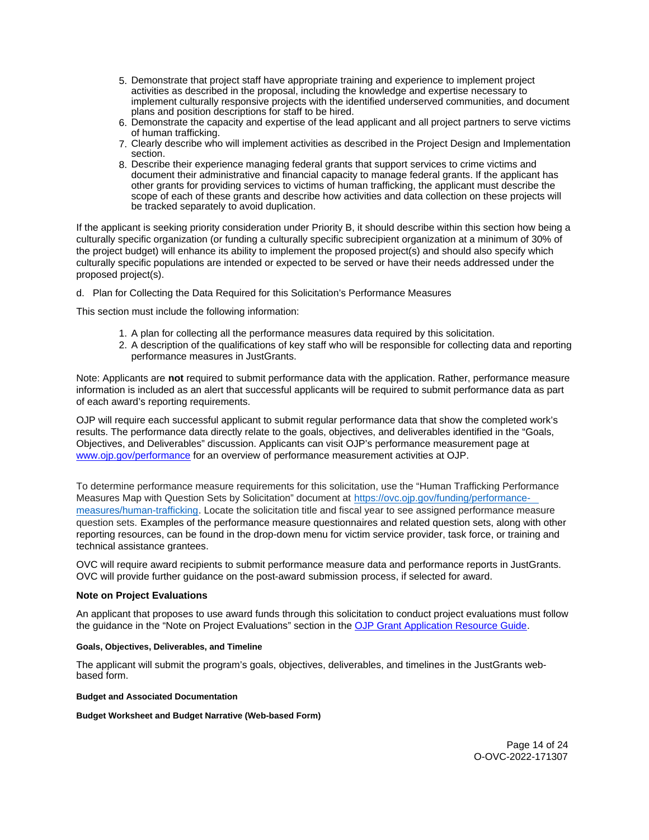- <span id="page-13-0"></span>5. Demonstrate that project staff have appropriate training and experience to implement project activities as described in the proposal, including the knowledge and expertise necessary to implement culturally responsive projects with the identified underserved communities, and document plans and position descriptions for staff to be hired.
- 6. Demonstrate the capacity and expertise of the lead applicant and all project partners to serve victims of human trafficking.
- 7. Clearly describe who will implement activities as described in the Project Design and Implementation section.
- 8. Describe their experience managing federal grants that support services to crime victims and document their administrative and financial capacity to manage federal grants. If the applicant has other grants for providing services to victims of human trafficking, the applicant must describe the scope of each of these grants and describe how activities and data collection on these projects will be tracked separately to avoid duplication.

If the applicant is seeking priority consideration under Priority B, it should describe within this section how being a culturally specific organization (or funding a culturally specific subrecipient organization at a minimum of 30% of the project budget) will enhance its ability to implement the proposed project(s) and should also specify which culturally specific populations are intended or expected to be served or have their needs addressed under the proposed project(s).

d. Plan for Collecting the Data Required for this Solicitation's Performance Measures

This section must include the following information:

- 1. A plan for collecting all the performance measures data required by this solicitation.
- 2. A description of the qualifications of key staff who will be responsible for collecting data and reporting performance measures in JustGrants.

Note: Applicants are **not** required to submit performance data with the application. Rather, performance measure information is included as an alert that successful applicants will be required to submit performance data as part of each award's reporting requirements.

OJP will require each successful applicant to submit regular performance data that show the completed work's results. The performance data directly relate to the goals, objectives, and deliverables identified in the "Goals, Objectives, and Deliverables" discussion. Applicants can visit OJP's performance measurement page at [www.ojp.gov/performance](https://www.ojp.gov/performance) for an overview of performance measurement activities at OJP.

To determine performance measure requirements for this solicitation, use the "Human Trafficking Performance Measures Map with Question Sets by Solicitation" document at [https://ovc.ojp.gov/funding/performance](https://ovc.ojp.gov/funding/performance-measures/human-trafficking)[measures/human-trafficking.](https://ovc.ojp.gov/funding/performance-measures/human-trafficking) Locate the solicitation title and fiscal year to see assigned performance measure question sets. Examples of the performance measure questionnaires and related question sets, along with other reporting resources, can be found in the drop-down menu for victim service provider, task force, or training and technical assistance grantees.

OVC will require award recipients to submit performance measure data and performance reports in JustGrants. OVC will provide further guidance on the post-award submission process, if selected for award.

#### **Note on Project Evaluations**

An applicant that proposes to use award funds through this solicitation to conduct project evaluations must follow the guidance in the "Note on Project Evaluations" section in the [OJP Grant Application Resource Guide.](https://www.ojp.gov/funding/Apply/Resources/Grant-App-Resource-Guide.htm)

#### **Goals, Objectives, Deliverables, and Timeline**

The applicant will submit the program's goals, objectives, deliverables, and timelines in the JustGrants webbased form.

#### **Budget and Associated Documentation**

**Budget Worksheet and Budget Narrative (Web-based Form)**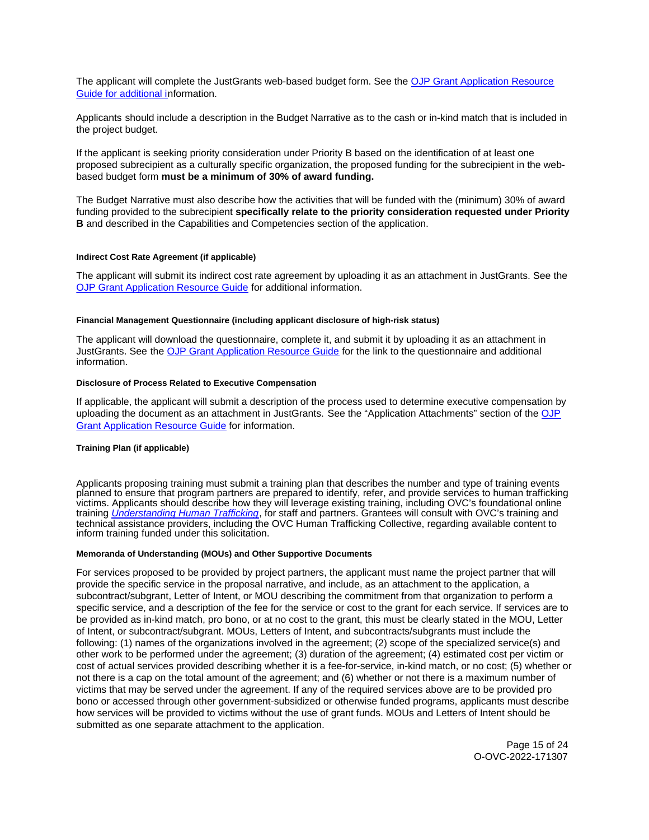<span id="page-14-0"></span>The applicant will complete the JustGrants web-based budget form. See the [OJP Grant Application Resource](https://ojp.gov/funding/Apply/Resources/Grant-App-Resource-Guide.htm)  [Guide](https://ojp.gov/funding/Apply/Resources/Grant-App-Resource-Guide.htm) for additional information.

Applicants should include a description in the Budget Narrative as to the cash or in-kind match that is included in the project budget.

If the applicant is seeking priority consideration under Priority B based on the identification of at least one proposed subrecipient as a culturally specific organization, the proposed funding for the subrecipient in the webbased budget form **must be a minimum of 30% of award funding.** 

The Budget Narrative must also describe how the activities that will be funded with the (minimum) 30% of award funding provided to the subrecipient **specifically relate to the priority consideration requested under Priority B** and described in the Capabilities and Competencies section of the application.

#### **Indirect Cost Rate Agreement (if applicable)**

The applicant will submit its indirect cost rate agreement by uploading it as an attachment in JustGrants. See the [OJP Grant Application Resource Guide](https://www.ojp.gov/funding/apply/ojp-grant-application-resource-guide#indirect-cost) for additional information.

#### **Financial Management Questionnaire (including applicant disclosure of high-risk status)**

The applicant will download the questionnaire, complete it, and submit it by uploading it as an attachment in JustGrants. See the [OJP Grant Application Resource Guide](https://www.ojp.gov/funding/apply/ojp-grant-application-resource-guide#fm-internal-controls-questionnaire) for the link to the questionnaire and additional information.

#### **Disclosure of Process Related to Executive Compensation**

If applicable, the applicant will submit a description of the process used to determine executive compensation by uploading the document as an attachment in JustGrants. See the "Application Attachments" section of the OJP [Grant Application Resource Guide](https://www.ojp.gov/funding/Apply/Resources/Grant-App-Resource-Guide.htm) for information.

#### **Training Plan (if applicable)**

Applicants proposing training must submit a training plan that describes the number and type of training events planned to ensure that program partners are prepared to identify, refer, and provide services to human trafficking victims. Applicants should describe how they will leverage existing training, including OVC's foundational online training *[Understanding Human Trafficking](https://www.ovcttac.gov/UnderstandingHumanTrafficking/index.cfm?nm=wbt&ns=ot&nt=ht)*, for staff and partners. Grantees will consult with OVC's training and technical assistance providers, including the OVC Human Trafficking Collective, regarding available content to inform training funded under this solicitation.

#### **Memoranda of Understanding (MOUs) and Other Supportive Documents**

For services proposed to be provided by project partners, the applicant must name the project partner that will provide the specific service in the proposal narrative, and include, as an attachment to the application, a subcontract/subgrant, Letter of Intent, or MOU describing the commitment from that organization to perform a specific service, and a description of the fee for the service or cost to the grant for each service. If services are to be provided as in-kind match, pro bono, or at no cost to the grant, this must be clearly stated in the MOU, Letter of Intent, or subcontract/subgrant. MOUs, Letters of Intent, and subcontracts/subgrants must include the following: (1) names of the organizations involved in the agreement; (2) scope of the specialized service(s) and other work to be performed under the agreement; (3) duration of the agreement; (4) estimated cost per victim or cost of actual services provided describing whether it is a fee-for-service, in-kind match, or no cost; (5) whether or not there is a cap on the total amount of the agreement; and (6) whether or not there is a maximum number of victims that may be served under the agreement. If any of the required services above are to be provided pro bono or accessed through other government-subsidized or otherwise funded programs, applicants must describe how services will be provided to victims without the use of grant funds. MOUs and Letters of Intent should be submitted as one separate attachment to the application.

> Page 15 of 24 O-OVC-2022-171307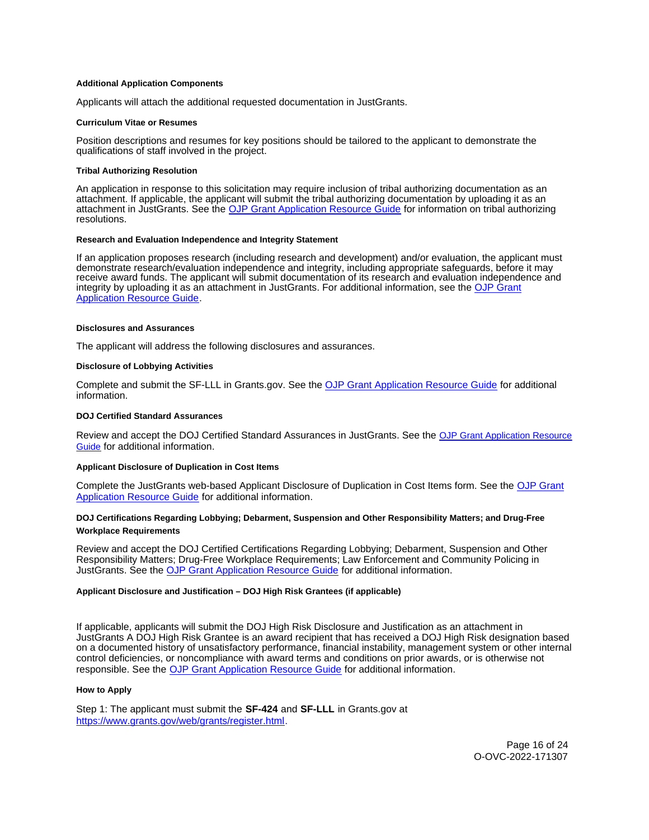#### <span id="page-15-0"></span>**Additional Application Components**

Applicants will attach the additional requested documentation in JustGrants.

#### **Curriculum Vitae or Resumes**

Position descriptions and resumes for key positions should be tailored to the applicant to demonstrate the qualifications of staff involved in the project.

#### **Tribal Authorizing Resolution**

An application in response to this solicitation may require inclusion of tribal authorizing documentation as an attachment. If applicable, the applicant will submit the tribal authorizing documentation by uploading it as an attachment in JustGrants. See the [OJP Grant Application Resource Guide](https://www.ojp.gov/funding/apply/ojp-grant-application-resource-guide#tribal-authorizing-resolution) for information on tribal authorizing resolutions.

#### **Research and Evaluation Independence and Integrity Statement**

If an application proposes research (including research and development) and/or evaluation, the applicant must demonstrate research/evaluation independence and integrity, including appropriate safeguards, before it may receive award funds. The applicant will submit documentation of its research and evaluation independence and integrity by uploading it as an attachment in JustGrants. For additional information, see the [OJP Grant](https://www.ojp.gov/funding/apply/ojp-grant-application-resource-guide#research-evaluation)  **[Application Resource Guide.](https://www.ojp.gov/funding/apply/ojp-grant-application-resource-guide#research-evaluation)** 

#### **Disclosures and Assurances**

The applicant will address the following disclosures and assurances.

#### **Disclosure of Lobbying Activities**

Complete and submit the SF-LLL in [Grants.gov.](https://Grants.gov) See the [OJP Grant Application Resource Guide](https://www.ojp.gov/funding/apply/ojp-grant-application-resource-guide#disclosure-lobby) for additional information.

#### **DOJ Certified Standard Assurances**

Review and accept the DOJ Certified Standard Assurances in JustGrants. See the [OJP Grant Application Resource](https://www.ojp.gov/funding/apply/ojp-grant-application-resource-guide#administrative)  [Guide](https://www.ojp.gov/funding/apply/ojp-grant-application-resource-guide#administrative) for additional information.

#### **Applicant Disclosure of Duplication in Cost Items**

Complete the JustGrants web-based Applicant Disclosure of Duplication in Cost Items form. See the [OJP Grant](https://www.ojp.gov/funding/apply/ojp-grant-application-resource-guide#applicant-disclosure-pending-applications)  [Application Resource Guide](https://www.ojp.gov/funding/apply/ojp-grant-application-resource-guide#applicant-disclosure-pending-applications) for additional information.

#### **DOJ Certifications Regarding Lobbying; Debarment, Suspension and Other Responsibility Matters; and Drug-Free Workplace Requirements**

Review and accept the DOJ Certified Certifications Regarding Lobbying; Debarment, Suspension and Other Responsibility Matters; Drug-Free Workplace Requirements; Law Enforcement and Community Policing in JustGrants. See the [OJP Grant Application Resource Guide](https://www.ojp.gov/funding/apply/ojp-grant-application-resource-guide#administrative) for additional information.

#### **Applicant Disclosure and Justification – DOJ High Risk Grantees (if applicable)**

If applicable, applicants will submit the DOJ High Risk Disclosure and Justification as an attachment in JustGrants A DOJ High Risk Grantee is an award recipient that has received a DOJ High Risk designation based on a documented history of unsatisfactory performance, financial instability, management system or other internal control deficiencies, or noncompliance with award terms and conditions on prior awards, or is otherwise not responsible. See the [OJP Grant Application Resource Guide](https://www.ojp.gov/funding/apply/ojp-grant-application-resource-guide) for additional information.

#### **How to Apply**

Step 1: The applicant must submit the **SF-424** and **SF-LLL** in [Grants.gov](https://Grants.gov) at [https://www.grants.gov/web/grants/register.html.](https://www.grants.gov/web/grants/register.html)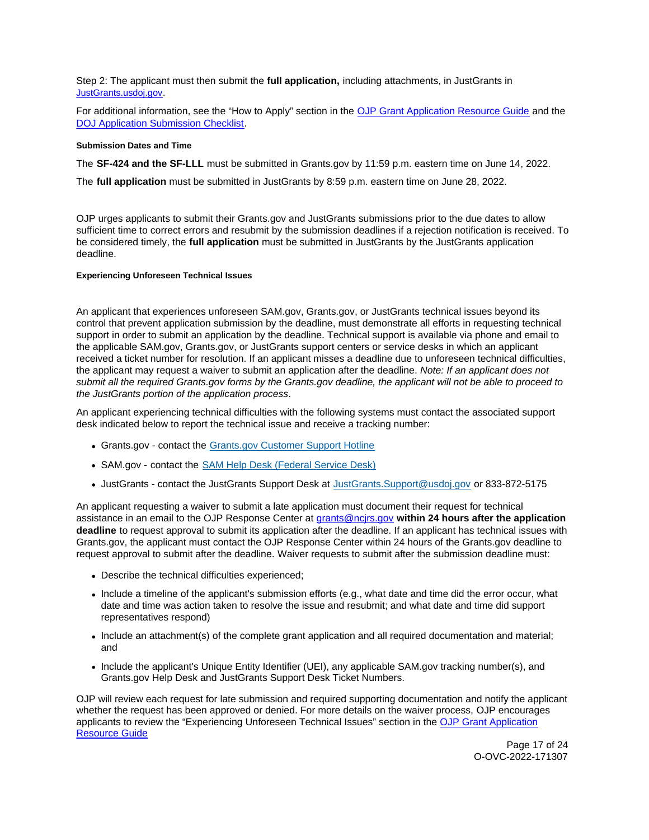<span id="page-16-0"></span>Step 2: The applicant must then submit the **full application,** including attachments, in JustGrants in [JustGrants.usdoj.gov.](https://justicegrants.usdoj.gov/)

For additional information, see the "How to Apply" section in the [OJP Grant Application Resource Guide](https://www.ojp.gov/funding/apply/ojp-grant-application-resource-guide#apply) and the [DOJ Application Submission Checklist.](https://justicegrants.usdoj.gov/sites/g/files/xyckuh296/files/media/document/appln-submission-checklist.pdf)

#### **Submission Dates and Time**

The **SF-424 and the SF-LLL** must be submitted in [Grants.gov](https://Grants.gov) by 11:59 p.m. eastern time on June 14, 2022.

The **full application** must be submitted in JustGrants by 8:59 p.m. eastern time on June 28, 2022.

OJP urges applicants to submit their [Grants.gov](https://Grants.gov) and JustGrants submissions prior to the due dates to allow sufficient time to correct errors and resubmit by the submission deadlines if a rejection notification is received. To be considered timely, the **full application** must be submitted in JustGrants by the JustGrants application deadline.

# **Experiencing Unforeseen Technical Issues**

An applicant that experiences unforeseen SAM.gov, [Grants.gov,](https://Grants.gov) or JustGrants technical issues beyond its control that prevent application submission by the deadline, must demonstrate all efforts in requesting technical support in order to submit an application by the deadline. Technical support is available via phone and email to the applicable SAM.gov, [Grants.gov,](https://Grants.gov) or JustGrants support centers or service desks in which an applicant received a ticket number for resolution. If an applicant misses a deadline due to unforeseen technical difficulties, the applicant may request a waiver to submit an application after the deadline. Note: If an applicant does not submit all the required [Grants.gov](https://Grants.gov) forms by the [Grants.gov](https://Grants.gov) deadline, the applicant will not be able to proceed to the JustGrants portion of the application process.

An applicant experiencing technical difficulties with the following systems must contact the associated support desk indicated below to report the technical issue and receive a tracking number:

- [Grants.gov](https://Grants.gov)  contact the [Grants.gov Customer Support Hotline](https://www.grants.gov/web/grants/support.html)
- SAM.gov contact the [SAM Help Desk \(Federal Service Desk\)](https://www.fsd.gov/gsafsd_sp)
- JustGrants contact the JustGrants Support Desk at [JustGrants.Support@usdoj.gov](mailto:JustGrants.Support@usdoj.gov) or 833-872-5175

An applicant requesting a waiver to submit a late application must document their request for technical assistance in an email to the OJP Response Center at [grants@ncjrs.gov](mailto:grants@ncjrs.gov) **within 24 hours after the application deadline** to request approval to submit its application after the deadline. If an applicant has technical issues with [Grants.gov,](https://Grants.gov) the applicant must contact the OJP Response Center within 24 hours of the [Grants.gov](https://Grants.gov) deadline to request approval to submit after the deadline. Waiver requests to submit after the submission deadline must:

- Describe the technical difficulties experienced;
- Include a timeline of the applicant's submission efforts (e.g., what date and time did the error occur, what date and time was action taken to resolve the issue and resubmit; and what date and time did support representatives respond)
- Include an attachment(s) of the complete grant application and all required documentation and material; and
- Include the applicant's Unique Entity Identifier (UEI), any applicable SAM.gov tracking number(s), and [Grants.gov](https://Grants.gov) Help Desk and JustGrants Support Desk Ticket Numbers.

OJP will review each request for late submission and required supporting documentation and notify the applicant whether the request has been approved or denied. For more details on the waiver process, OJP encourages applicants to review the "Experiencing Unforeseen Technical Issues" section in the [OJP Grant Application](https://www.ojp.gov/funding/apply/ojp-grant-application-resource-guide#experiencing-unforeseen-technical-issues)  [Resource Guide](https://www.ojp.gov/funding/apply/ojp-grant-application-resource-guide#experiencing-unforeseen-technical-issues) 

Page 17 of 24 O-OVC-2022-171307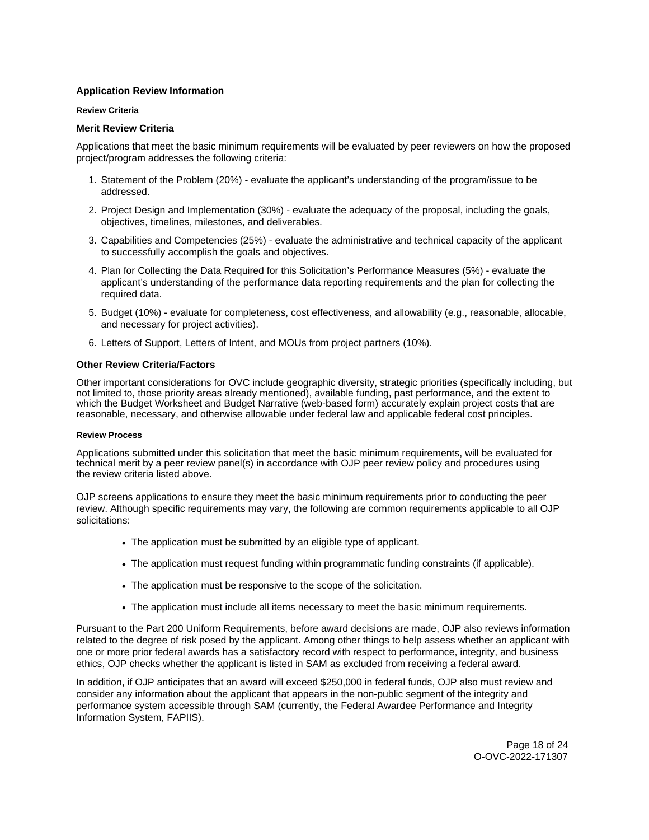# <span id="page-17-0"></span>**Application Review Information**

#### **Review Criteria**

# **Merit Review Criteria**

Applications that meet the basic minimum requirements will be evaluated by peer reviewers on how the proposed project/program addresses the following criteria:

- 1. Statement of the Problem (20%) evaluate the applicant's understanding of the program/issue to be addressed.
- 2. Project Design and Implementation (30%) evaluate the adequacy of the proposal, including the goals, objectives, timelines, milestones, and deliverables.
- 3. Capabilities and Competencies (25%) evaluate the administrative and technical capacity of the applicant to successfully accomplish the goals and objectives.
- 4. Plan for Collecting the Data Required for this Solicitation's Performance Measures (5%) evaluate the applicant's understanding of the performance data reporting requirements and the plan for collecting the required data.
- 5. Budget (10%) evaluate for completeness, cost effectiveness, and allowability (e.g., reasonable, allocable, and necessary for project activities).
- 6. Letters of Support, Letters of Intent, and MOUs from project partners (10%).

# **Other Review Criteria/Factors**

Other important considerations for OVC include geographic diversity, strategic priorities (specifically including, but not limited to, those priority areas already mentioned), available funding, past performance, and the extent to which the Budget Worksheet and Budget Narrative (web-based form) accurately explain project costs that are reasonable, necessary, and otherwise allowable under federal law and applicable federal cost principles.

# **Review Process**

Applications submitted under this solicitation that meet the basic minimum requirements, will be evaluated for technical merit by a peer review panel(s) in accordance with OJP peer review policy and procedures using the review criteria listed above.

OJP screens applications to ensure they meet the basic minimum requirements prior to conducting the peer review. Although specific requirements may vary, the following are common requirements applicable to all OJP solicitations:

- The application must be submitted by an eligible type of applicant.
- The application must request funding within programmatic funding constraints (if applicable).
- The application must be responsive to the scope of the solicitation.
- The application must include all items necessary to meet the basic minimum requirements.

Pursuant to the Part 200 Uniform Requirements, before award decisions are made, OJP also reviews information related to the degree of risk posed by the applicant. Among other things to help assess whether an applicant with one or more prior federal awards has a satisfactory record with respect to performance, integrity, and business ethics, OJP checks whether the applicant is listed in SAM as excluded from receiving a federal award.

In addition, if OJP anticipates that an award will exceed \$250,000 in federal funds, OJP also must review and consider any information about the applicant that appears in the non-public segment of the integrity and performance system accessible through SAM (currently, the Federal Awardee Performance and Integrity Information System, FAPIIS).

> Page 18 of 24 O-OVC-2022-171307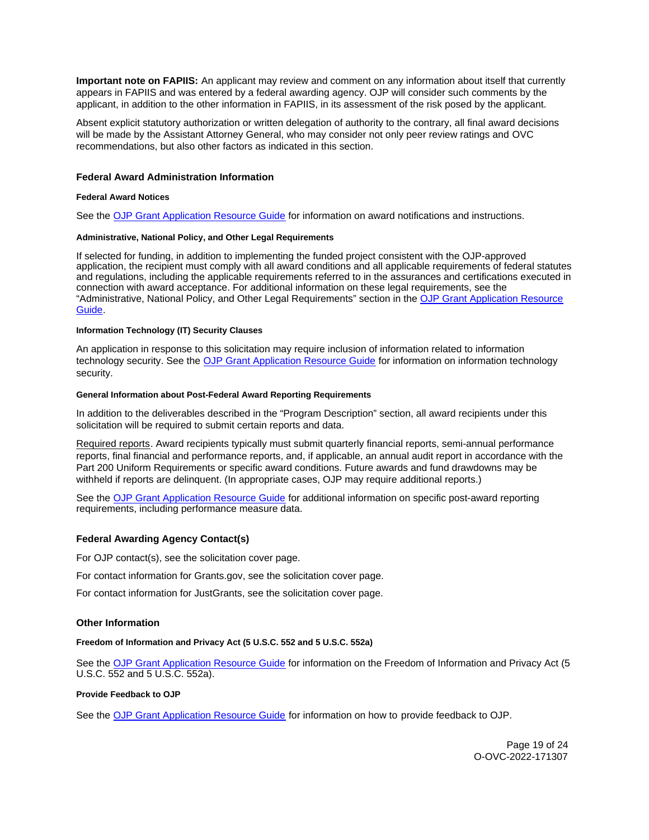<span id="page-18-0"></span>**Important note on FAPIIS:** An applicant may review and comment on any information about itself that currently appears in FAPIIS and was entered by a federal awarding agency. OJP will consider such comments by the applicant, in addition to the other information in FAPIIS, in its assessment of the risk posed by the applicant.

Absent explicit statutory authorization or written delegation of authority to the contrary, all final award decisions will be made by the Assistant Attorney General, who may consider not only peer review ratings and OVC recommendations, but also other factors as indicated in this section.

## **Federal Award Administration Information**

#### **Federal Award Notices**

See the [OJP Grant Application Resource Guide](https://www.ojp.gov/funding/apply/ojp-grant-application-resource-guide#federal-award-notices) for information on award notifications and instructions.

## **Administrative, National Policy, and Other Legal Requirements**

If selected for funding, in addition to implementing the funded project consistent with the OJP-approved application, the recipient must comply with all award conditions and all applicable requirements of federal statutes and regulations, including the applicable requirements referred to in the assurances and certifications executed in connection with award acceptance. For additional information on these legal requirements, see the "Administrative, National Policy, and Other Legal Requirements" section in the [OJP Grant Application Resource](https://www.ojp.gov/funding/apply/ojp-grant-application-resource-guide#administrative)  [Guide.](https://www.ojp.gov/funding/apply/ojp-grant-application-resource-guide#administrative)

#### **Information Technology (IT) Security Clauses**

An application in response to this solicitation may require inclusion of information related to information technology security. See the [OJP Grant Application Resource Guide](https://www.ojp.gov/funding/apply/ojp-grant-application-resource-guide#information-technology) for information on information technology security.

#### **General Information about Post-Federal Award Reporting Requirements**

In addition to the deliverables described in the "Program Description" section, all award recipients under this solicitation will be required to submit certain reports and data.

Required reports. Award recipients typically must submit quarterly financial reports, semi-annual performance reports, final financial and performance reports, and, if applicable, an annual audit report in accordance with the Part 200 Uniform Requirements or specific award conditions. Future awards and fund drawdowns may be withheld if reports are delinquent. (In appropriate cases, OJP may require additional reports.)

See the [OJP Grant Application Resource Guide](https://www.ojp.gov/funding/Apply/Resources/Grant-App-Resource-Guide.htm) for additional information on specific post-award reporting requirements, including performance measure data.

# **Federal Awarding Agency Contact(s)**

For OJP contact(s), see the solicitation cover page.

For contact information for [Grants.gov](https://Grants.gov), see the solicitation cover page.

For contact information for JustGrants, see the solicitation cover page.

# **Other Information**

**Freedom of Information and Privacy Act (5 U.S.C. 552 and 5 U.S.C. 552a)** 

See the [OJP Grant Application Resource Guide](https://www.ojp.gov/funding/apply/ojp-grant-application-resource-guide#foia) for information on the Freedom of Information and Privacy Act (5 U.S.C. 552 and 5 U.S.C. 552a).

#### **Provide Feedback to OJP**

See the [OJP Grant Application Resource Guide](https://www.ojp.gov/funding/apply/ojp-grant-application-resource-guide#feedback) for information on how to provide feedback to OJP.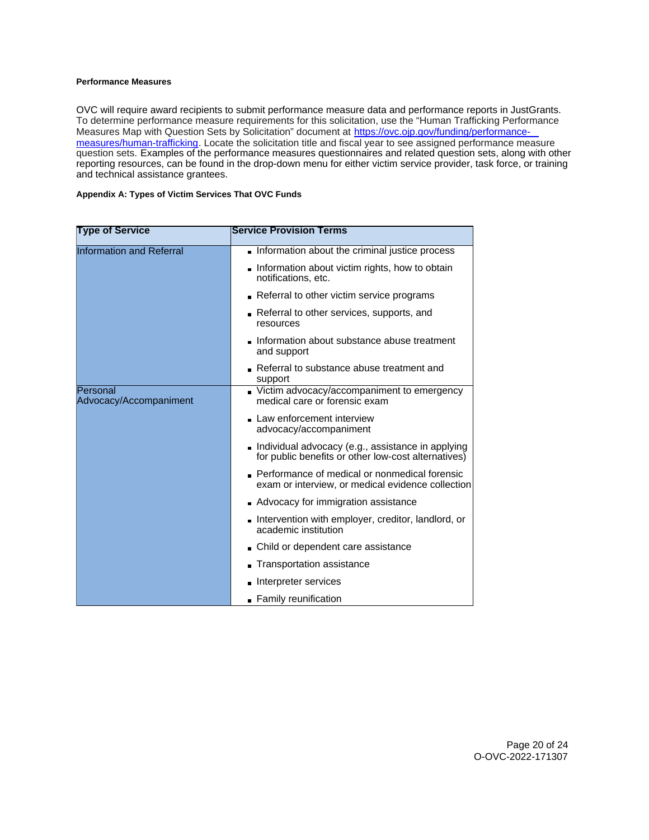# <span id="page-19-0"></span>**Performance Measures**

OVC will require award recipients to submit performance measure data and performance reports in JustGrants. To determine performance measure requirements for this solicitation, use the "Human Trafficking Performance Measures Map with Question Sets by Solicitation" document at [https://ovc.ojp.gov/funding/performance](https://ovc.ojp.gov/funding/performance-measures/human-trafficking)[measures/human-trafficking.](https://ovc.ojp.gov/funding/performance-measures/human-trafficking) Locate the solicitation title and fiscal year to see assigned performance measure question sets. Examples of the performance measures questionnaires and related question sets, along with other reporting resources, can be found in the drop-down menu for either victim service provider, task force, or training and technical assistance grantees.

# **Appendix A: Types of Victim Services That OVC Funds**

| <b>Type of Service</b>             | <b>Service Provision Terms</b>                                                                             |
|------------------------------------|------------------------------------------------------------------------------------------------------------|
| <b>Information and Referral</b>    | Information about the criminal justice process                                                             |
|                                    | Information about victim rights, how to obtain<br>notifications, etc.                                      |
|                                    | Referral to other victim service programs                                                                  |
|                                    | Referral to other services, supports, and<br>resources                                                     |
|                                    | Information about substance abuse treatment<br>and support                                                 |
|                                    | Referral to substance abuse treatment and<br>support                                                       |
| Personal<br>Advocacy/Accompaniment | Victim advocacy/accompaniment to emergency<br>medical care or forensic exam                                |
|                                    | Law enforcement interview<br>advocacy/accompaniment                                                        |
|                                    | l Individual advocacy (e.g., assistance in applying<br>for public benefits or other low-cost alternatives) |
|                                    | Performance of medical or nonmedical forensic<br>exam or interview, or medical evidence collection         |
|                                    | Advocacy for immigration assistance                                                                        |
|                                    | Intervention with employer, creditor, landlord, or<br>academic institution                                 |
|                                    | Child or dependent care assistance                                                                         |
|                                    | Transportation assistance                                                                                  |
|                                    | lnterpreter services                                                                                       |
|                                    | • Family reunification                                                                                     |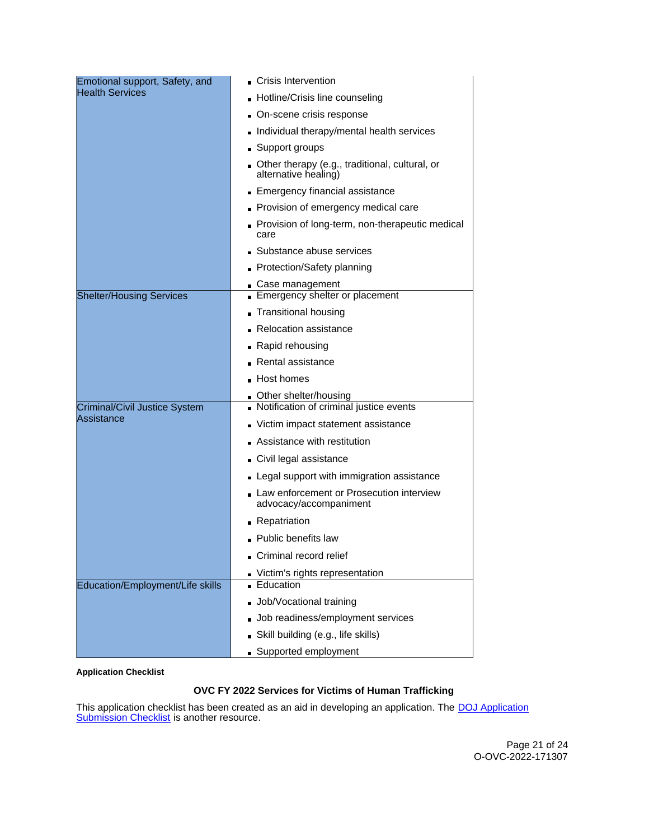<span id="page-20-0"></span>

| Emotional support, Safety, and              | Crisis Intervention                                                    |  |  |  |
|---------------------------------------------|------------------------------------------------------------------------|--|--|--|
| <b>Health Services</b>                      | Hotline/Crisis line counseling                                         |  |  |  |
|                                             | On-scene crisis response                                               |  |  |  |
|                                             | Individual therapy/mental health services                              |  |  |  |
|                                             | Support groups                                                         |  |  |  |
|                                             | Other therapy (e.g., traditional, cultural, or<br>alternative healing) |  |  |  |
|                                             | Emergency financial assistance                                         |  |  |  |
|                                             | Provision of emergency medical care                                    |  |  |  |
|                                             | Provision of long-term, non-therapeutic medical<br>care                |  |  |  |
|                                             | Substance abuse services                                               |  |  |  |
|                                             | Protection/Safety planning                                             |  |  |  |
|                                             | Case management                                                        |  |  |  |
| <b>Shelter/Housing Services</b>             | Emergency shelter or placement                                         |  |  |  |
|                                             | <b>Transitional housing</b>                                            |  |  |  |
|                                             | <b>Relocation assistance</b>                                           |  |  |  |
|                                             | Rapid rehousing                                                        |  |  |  |
|                                             | Rental assistance                                                      |  |  |  |
|                                             | Host homes                                                             |  |  |  |
|                                             | Other shelter/housing<br>Notification of criminal justice events       |  |  |  |
| Criminal/Civil Justice System<br>Assistance |                                                                        |  |  |  |
|                                             | Victim impact statement assistance                                     |  |  |  |
|                                             | Assistance with restitution                                            |  |  |  |
|                                             | Civil legal assistance                                                 |  |  |  |
|                                             | - Legal support with immigration assistance                            |  |  |  |
|                                             | Law enforcement or Prosecution interview<br>advocacy/accompaniment     |  |  |  |
|                                             | - Repatriation                                                         |  |  |  |
|                                             | • Public benefits law                                                  |  |  |  |
|                                             | Criminal record relief                                                 |  |  |  |
|                                             | Victim's rights representation                                         |  |  |  |
| <b>Education/Employment/Life skills</b>     | Education                                                              |  |  |  |
|                                             | Job/Vocational training                                                |  |  |  |
|                                             | Job readiness/employment services                                      |  |  |  |
|                                             | Skill building (e.g., life skills)                                     |  |  |  |
|                                             | Supported employment                                                   |  |  |  |

# **Application Checklist**

# **OVC FY 2022 Services for Victims of Human Trafficking**

This application checklist has been created as an aid in developing an application. The **DOJ** Application [Submission Checklist](https://justicegrants.usdoj.gov/sites/g/files/xyckuh296/files/media/document/appln-submission-checklist.pdf) is another resource.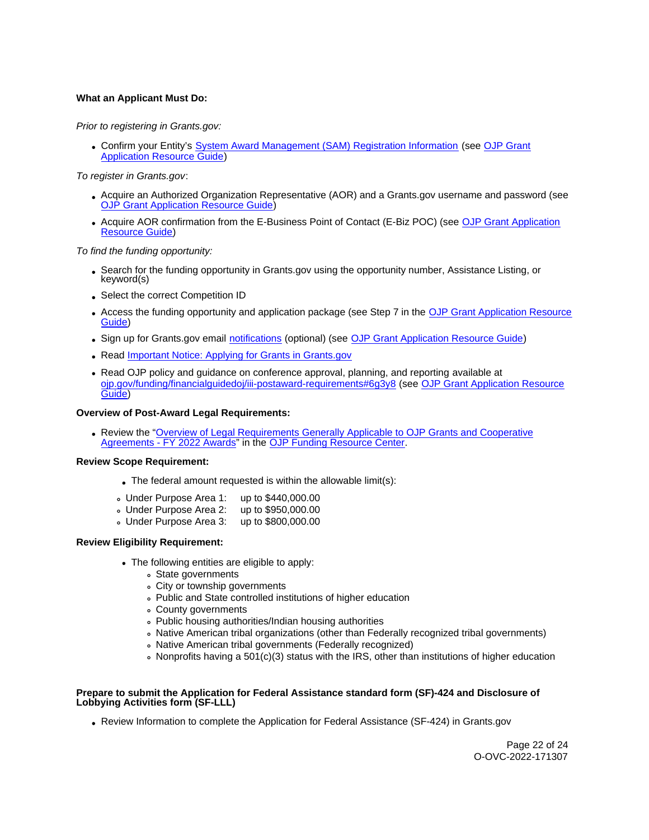# **What an Applicant Must Do:**

# Prior to registering in [Grants.gov](https://Grants.gov):

• Confirm your Entity's [System Award Management \(SAM\)](https://sam.gov/SAM/) Registration Information (see OJP Grant [Application Resource Guide\)](https://www.ojp.gov/funding/apply/ojp-grant-application-resource-guide#apply)

## To register in [Grants.gov](https://Grants.gov):

- Acquire an Authorized Organization Representative (AOR) and a [Grants.gov](https://Grants.gov) username and password (see [OJP Grant Application Resource Guide\)](https://www.ojp.gov/funding/apply/ojp-grant-application-resource-guide#apply)
- Acquire AOR confirmation from the E-Business Point of Contact (E-Biz POC) (see [OJP Grant Application](https://www.ojp.gov/funding/apply/ojp-grant-application-resource-guide#apply)  [Resource Guide\)](https://www.ojp.gov/funding/apply/ojp-grant-application-resource-guide#apply)

#### To find the funding opportunity:

- Search for the funding opportunity in [Grants.gov](https://Grants.gov) using the opportunity number, Assistance Listing, or keyword(s)
- Select the correct Competition ID
- Access the funding opportunity and application package (see Step 7 in the [OJP Grant Application Resource](https://www.ojp.gov/funding/apply/ojp-grant-application-resource-guide#apply)  [Guide\)](https://www.ojp.gov/funding/apply/ojp-grant-application-resource-guide#apply)
- Sign up for [Grants.gov](https://Grants.gov) email [notifications](https://www.grants.gov/web/grants/manage-subscriptions.html) (optional) (see [OJP Grant Application Resource Guide\)](https://www.ojp.gov/funding/apply/ojp-grant-application-resource-guide#apply)
- Read Important Notice: Applying for Grants in Grants.gov
- Read OJP policy and guidance on conference approval, planning, and reporting available at [ojp.gov/funding/financialguidedoj/iii-postaward-requirements#6g3y8](https://www.ojp.gov/funding/financialguidedoj/iii-postaward-requirements#6g3y8) (see [OJP Grant Application Resource](https://www.ojp.gov/funding/apply/ojp-grant-application-resource-guide#prior-approval)  [Guide\)](https://www.ojp.gov/funding/apply/ojp-grant-application-resource-guide#prior-approval)

#### **Overview of Post-Award Legal Requirements:**

Review the ["Overview of Legal Requirements Generally Applicable to OJP Grants and Cooperative](https://www.ojp.gov/funding/explore/legal-overview-awards)  [Agreements - FY 2022 Awards"](https://www.ojp.gov/funding/explore/legal-overview-awards) in the [OJP Funding Resource Center.](https://www.ojp.gov/funding/explore/legal-overview-awards)

#### **Review Scope Requirement:**

- The federal amount requested is within the allowable limit(s):
- Under Purpose Area 1: up to \$440,000.00
- Under Purpose Area 2: up to \$950,000.00
- Under Purpose Area 3: up to \$800,000.00

#### **Review Eligibility Requirement:**

- The following entities are eligible to apply:
	- State governments
	- City or township governments
	- Public and State controlled institutions of higher education
	- County governments
	- Public housing authorities/Indian housing authorities
	- Native American tribal organizations (other than Federally recognized tribal governments)
	- Native American tribal governments (Federally recognized)
	- $\,\circ\,$  Nonprofits having a 501(c)(3) status with the IRS, other than institutions of higher education

#### **Prepare to submit the Application for Federal Assistance standard form (SF)-424 and Disclosure of Lobbying Activities form (SF-LLL)**

Review Information to complete the Application for Federal Assistance (SF-424) in [Grants.gov](https://Grants.gov)

Page 22 of 24 O-OVC-2022-171307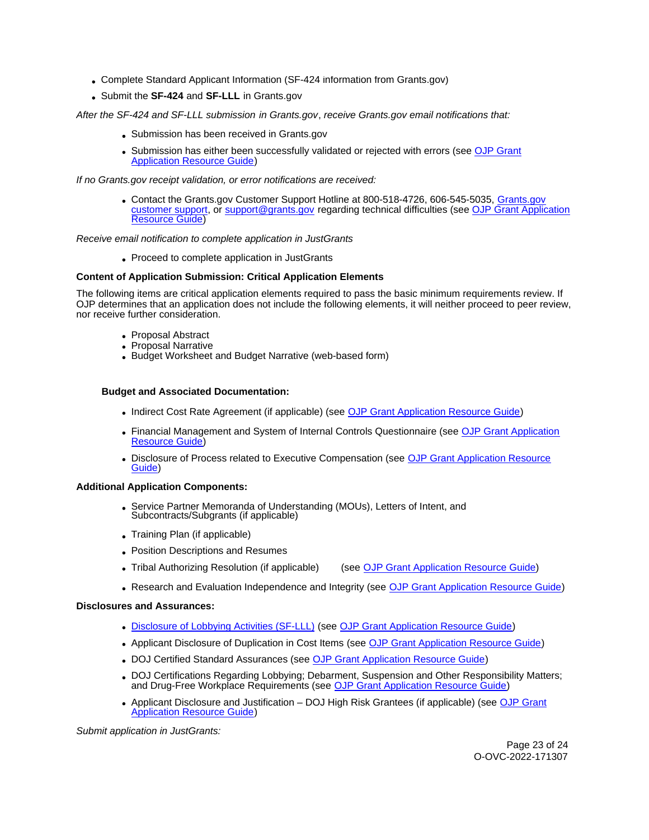- Complete Standard Applicant Information (SF-424 information from [Grants.gov](https://Grants.gov))
- Submit the **SF-424** and **SF-LLL** in [Grants.gov](https://Grants.gov)

After the SF-424 and SF-LLL submission in [Grants.gov](https://Grants.gov), receive [Grants.gov](https://Grants.gov) email notifications that:

- Submission has been received in [Grants.gov](https://Grants.gov)
- Submission has either been successfully validated or rejected with errors (see OJP Grant [Application Resource Guide\)](https://ojp.gov/funding/Apply/Resources/Grant-App-Resource-Guide.htm)

If no [Grants.gov](https://Grants.gov) receipt validation, or error notifications are received:

Contact the [Grants.gov](https://Grants.gov) Customer Support Hotline at 800-518-4726, 606-545-5035, [Grants.gov](https://www.grants.gov/web/grants/support.html)  [customer support,](https://www.grants.gov/web/grants/support.html) or [support@grants.gov](mailto:support@grants.gov) regarding technical difficulties (see [OJP Grant Application](https://ojp.gov/funding/Apply/Resources/Grant-App-Resource-Guide.htm)  [Resource Guide\)](https://ojp.gov/funding/Apply/Resources/Grant-App-Resource-Guide.htm)

# Receive email notification to complete application in JustGrants

• Proceed to complete application in JustGrants

# **Content of Application Submission: Critical Application Elements**

The following items are critical application elements required to pass the basic minimum requirements review. If OJP determines that an application does not include the following elements, it will neither proceed to peer review, nor receive further consideration.

- Proposal Abstract
- Proposal Narrative
- Budget Worksheet and Budget Narrative (web-based form)

# **Budget and Associated Documentation:**

- Indirect Cost Rate Agreement (if applicable) (see [OJP Grant Application Resource Guide\)](https://ojp.gov/funding/Apply/Resources/Grant-App-Resource-Guide.htm)
- Financial Management and System of Internal Controls Questionnaire (see [OJP Grant Application](https://ojp.gov/funding/Apply/Resources/Grant-App-Resource-Guide.htm)  [Resource Guide\)](https://ojp.gov/funding/Apply/Resources/Grant-App-Resource-Guide.htm)
- Disclosure of Process related to Executive Compensation (see OJP Grant Application Resource [Guide\)](https://ojp.gov/funding/Apply/Resources/Grant-App-Resource-Guide.htm)

# **Additional Application Components:**

- Service Partner Memoranda of Understanding (MOUs), Letters of Intent, and Subcontracts/Subgrants (if applicable)
- Training Plan (if applicable)
- Position Descriptions and Resumes
- Tribal Authorizing Resolution (if applicable) (see [OJP Grant Application Resource Guide\)](https://www.ojp.gov/funding/Apply/Resources/Grant-App-Resource-Guide.htm#researchAndEvaluation)
- Research and Evaluation Independence and Integrity (see [OJP Grant Application Resource Guide\)](https://ojp.gov/funding/Apply/Resources/Grant-App-Resource-Guide.htm)

# **Disclosures and Assurances:**

- [Disclosure of Lobbying Activities \(SF-LLL\)](https://ojp.gov/funding/Apply/Resources/Disclosure.pdf) (see [OJP Grant Application Resource Guide\)](https://ojp.gov/funding/Apply/Resources/Grant-App-Resource-Guide.htm)
- Applicant Disclosure of Duplication in Cost Items (see [OJP Grant Application Resource Guide\)](https://ojp.gov/funding/Apply/Resources/Grant-App-Resource-Guide.htm)
- DOJ Certified Standard Assurances (see [OJP Grant Application Resource Guide\)](https://ojp.gov/funding/Apply/Resources/Grant-App-Resource-Guide.htm)
- DOJ Certifications Regarding Lobbying; Debarment, Suspension and Other Responsibility Matters; and Drug-Free Workplace Requirements (see [OJP Grant Application Resource Guide\)](https://ojp.gov/funding/Apply/Resources/Grant-App-Resource-Guide.htm)
- Applicant Disclosure and Justification DOJ High Risk Grantees (if applicable) (see OJP Grant [Application Resource Guide\)](https://ojp.gov/funding/Apply/Resources/Grant-App-Resource-Guide.htm)

Submit application in JustGrants: